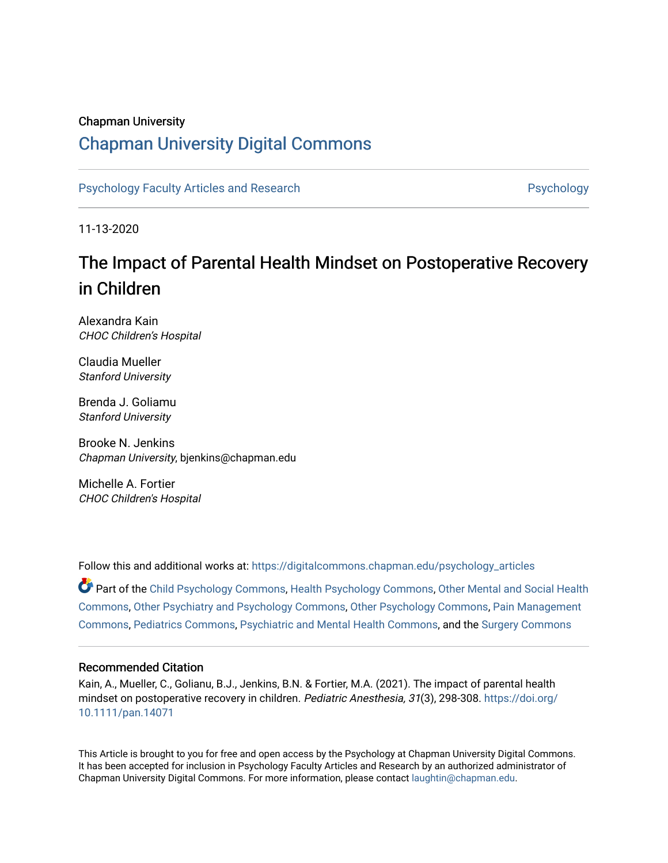#### Chapman University

## [Chapman University Digital Commons](https://digitalcommons.chapman.edu/)

[Psychology Faculty Articles and Research](https://digitalcommons.chapman.edu/psychology_articles) **Provident Contact Article Structure** Psychology

11-13-2020

# The Impact of Parental Health Mindset on Postoperative Recovery in Children

Alexandra Kain CHOC Children's Hospital

Claudia Mueller Stanford University

Brenda J. Goliamu Stanford University

Brooke N. Jenkins Chapman University, bjenkins@chapman.edu

Michelle A. Fortier CHOC Children's Hospital

Follow this and additional works at: [https://digitalcommons.chapman.edu/psychology\\_articles](https://digitalcommons.chapman.edu/psychology_articles?utm_source=digitalcommons.chapman.edu%2Fpsychology_articles%2F228&utm_medium=PDF&utm_campaign=PDFCoverPages)

Part of the [Child Psychology Commons,](http://network.bepress.com/hgg/discipline/1023?utm_source=digitalcommons.chapman.edu%2Fpsychology_articles%2F228&utm_medium=PDF&utm_campaign=PDFCoverPages) [Health Psychology Commons](http://network.bepress.com/hgg/discipline/411?utm_source=digitalcommons.chapman.edu%2Fpsychology_articles%2F228&utm_medium=PDF&utm_campaign=PDFCoverPages), [Other Mental and Social Health](http://network.bepress.com/hgg/discipline/717?utm_source=digitalcommons.chapman.edu%2Fpsychology_articles%2F228&utm_medium=PDF&utm_campaign=PDFCoverPages)  [Commons](http://network.bepress.com/hgg/discipline/717?utm_source=digitalcommons.chapman.edu%2Fpsychology_articles%2F228&utm_medium=PDF&utm_campaign=PDFCoverPages), [Other Psychiatry and Psychology Commons,](http://network.bepress.com/hgg/discipline/992?utm_source=digitalcommons.chapman.edu%2Fpsychology_articles%2F228&utm_medium=PDF&utm_campaign=PDFCoverPages) [Other Psychology Commons,](http://network.bepress.com/hgg/discipline/415?utm_source=digitalcommons.chapman.edu%2Fpsychology_articles%2F228&utm_medium=PDF&utm_campaign=PDFCoverPages) [Pain Management](http://network.bepress.com/hgg/discipline/1274?utm_source=digitalcommons.chapman.edu%2Fpsychology_articles%2F228&utm_medium=PDF&utm_campaign=PDFCoverPages)  [Commons](http://network.bepress.com/hgg/discipline/1274?utm_source=digitalcommons.chapman.edu%2Fpsychology_articles%2F228&utm_medium=PDF&utm_campaign=PDFCoverPages), [Pediatrics Commons,](http://network.bepress.com/hgg/discipline/700?utm_source=digitalcommons.chapman.edu%2Fpsychology_articles%2F228&utm_medium=PDF&utm_campaign=PDFCoverPages) [Psychiatric and Mental Health Commons,](http://network.bepress.com/hgg/discipline/711?utm_source=digitalcommons.chapman.edu%2Fpsychology_articles%2F228&utm_medium=PDF&utm_campaign=PDFCoverPages) and the [Surgery Commons](http://network.bepress.com/hgg/discipline/706?utm_source=digitalcommons.chapman.edu%2Fpsychology_articles%2F228&utm_medium=PDF&utm_campaign=PDFCoverPages) 

#### Recommended Citation

Kain, A., Mueller, C., Golianu, B.J., Jenkins, B.N. & Fortier, M.A. (2021). The impact of parental health mindset on postoperative recovery in children. Pediatric Anesthesia, 31(3), 298-308. [https://doi.org/](https://doi.org/10.1111/pan.14071) [10.1111/pan.14071](https://doi.org/10.1111/pan.14071) 

This Article is brought to you for free and open access by the Psychology at Chapman University Digital Commons. It has been accepted for inclusion in Psychology Faculty Articles and Research by an authorized administrator of Chapman University Digital Commons. For more information, please contact [laughtin@chapman.edu](mailto:laughtin@chapman.edu).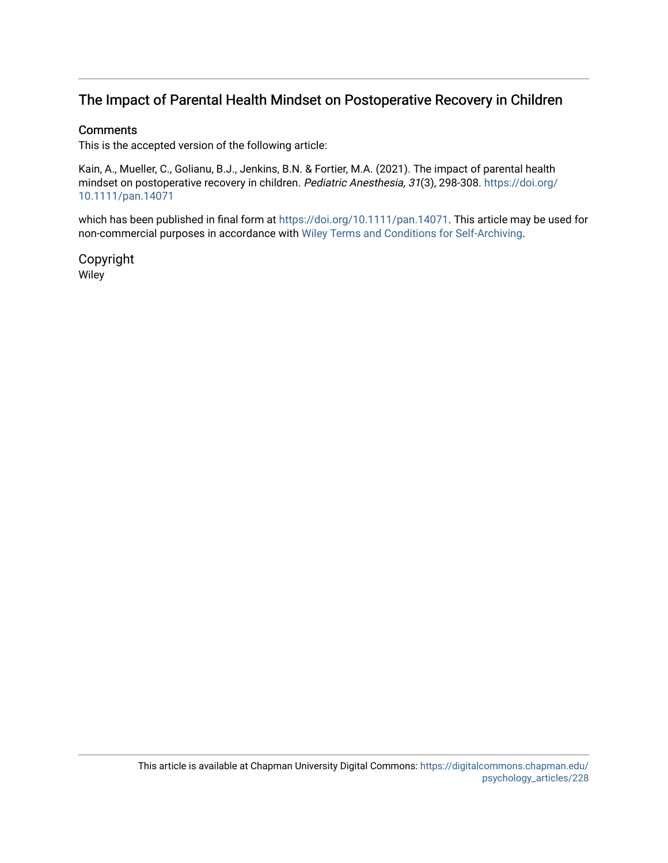## The Impact of Parental Health Mindset on Postoperative Recovery in Children

#### **Comments**

This is the accepted version of the following article:

Kain, A., Mueller, C., Golianu, B.J., Jenkins, B.N. & Fortier, M.A. (2021). The impact of parental health mindset on postoperative recovery in children. Pediatric Anesthesia, 31(3), 298-308. [https://doi.org/](https://doi.org/10.1111/pan.14071) [10.1111/pan.14071](https://doi.org/10.1111/pan.14071) 

which has been published in final form at <https://doi.org/10.1111/pan.14071>. This article may be used for non-commercial purposes in accordance with [Wiley Terms and Conditions for Self-Archiving](http://olabout.wiley.com/WileyCDA/Section/id-820227.html#terms).

Copyright Wiley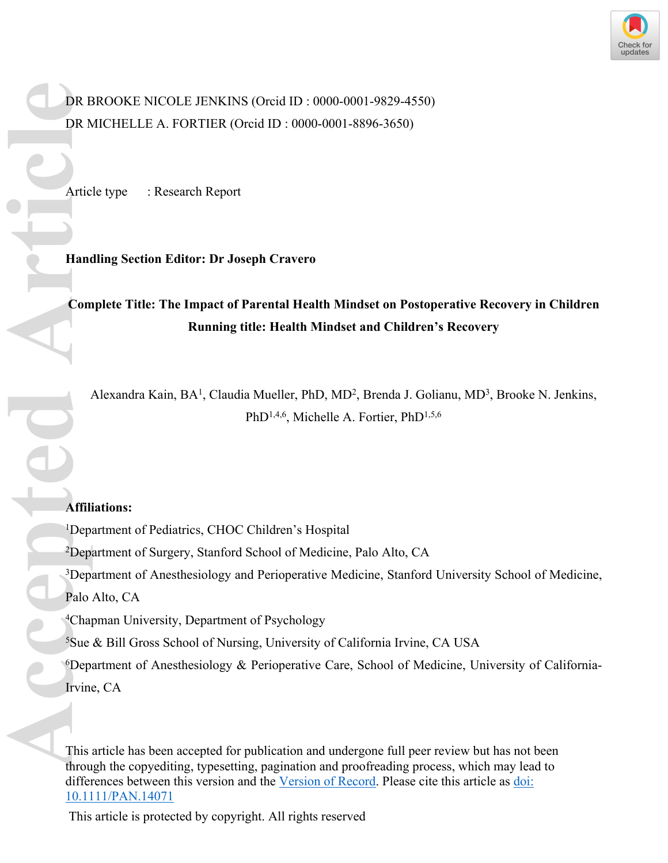

DR BROOKE NICOLE JENKINS (Orcid ID : 0000-0001-9829-4550) DR MICHELLE A. FORTIER (Orcid ID : 0000-0001-8896-3650) **Example PRINTED Article**<br> **Accepted Article**<br> **Accepted Article**<br> **Accepted Article**<br> **Accepted Article**<br> **Accepted Article**<br> **Accepted Article**<br> **Accepted Article**<br> **Accepted Article**<br> **Accepted Article**<br> **Accepted Artic** 

Article type : Research Report

## **Handling Section Editor: Dr Joseph Cravero**

## **Complete Title: The Impact of Parental Health Mindset on Postoperative Recovery in Children Running title: Health Mindset and Children's Recovery**

Alexandra Kain, BA<sup>1</sup>, Claudia Mueller, PhD, MD<sup>2</sup>, Brenda J. Golianu, MD<sup>3</sup>, Brooke N. Jenkins, PhD<sup>1,4,6</sup>, Michelle A. Fortier, PhD<sup>1,5,6</sup>

## **Affiliations:**

<sup>1</sup>Department of Pediatrics, CHOC Children's Hospital

<sup>2</sup>Department of Surgery, Stanford School of Medicine, Palo Alto, CA

<sup>3</sup>Department of Anesthesiology and Perioperative Medicine, Stanford University School of Medicine, Palo Alto, CA

<sup>4</sup>Chapman University, Department of Psychology

<sup>5</sup>Sue & Bill Gross School of Nursing, University of California Irvine, CA USA

6Department of Anesthesiology & Perioperative Care, School of Medicine, University of California-Irvine, CA

This article has been accepted for publication and undergone full peer review but has not been through the copyediting, typesetting, pagination and proofreading process, which may lead to differences between this version and the [Version of Record.](https://doi.org/10.1111/PAN.14071) Please cite this article as [doi:](https://doi.org/10.1111/PAN.14071)  [10.1111/PAN.14071](https://doi.org/10.1111/PAN.14071)

This article is protected by copyright. All rights reserved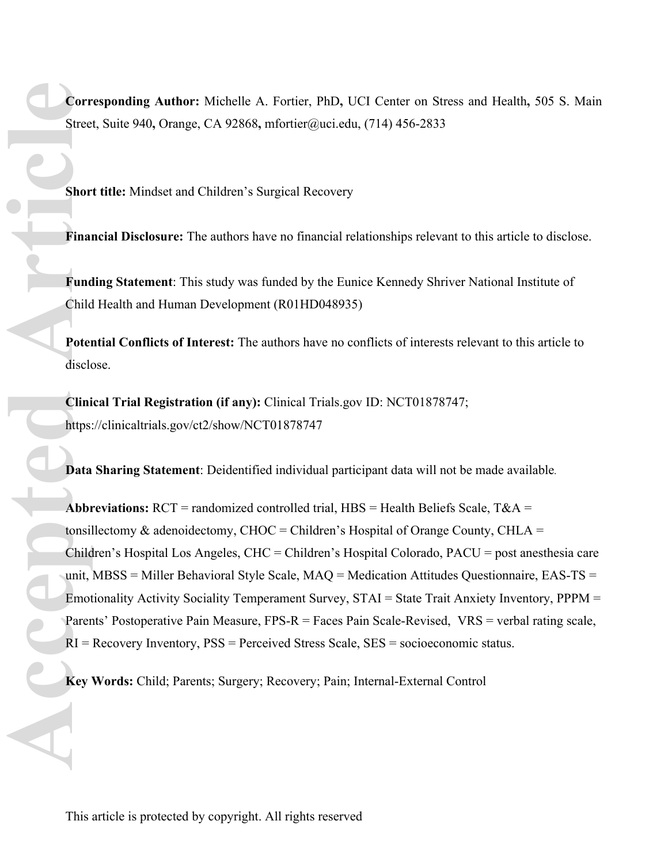**Corresponding Author:** Michelle A. Fortier, PhD**,** UCI Center on Stress and Health**,** 505 S. Main Street, Suite 940**,** Orange, CA 92868**,** [mfortier@uci.edu,](mailto:mfortier@uci.edu) (714) 456-2833

**Short title:** Mindset and Children's Surgical Recovery

**Financial Disclosure:** The authors have no financial relationships relevant to this article to disclose.

**Funding Statement**: This study was funded by the Eunice Kennedy Shriver National Institute of Child Health and Human Development (R01HD048935)

**Potential Conflicts of Interest:** The authors have no conflicts of interests relevant to this article to disclose.

**Clinical Trial Registration (if any):** Clinical Trials.gov ID: NCT01878747; <https://clinicaltrials.gov/ct2/show/NCT01878747>

**Data Sharing Statement**: Deidentified individual participant data will not be made available*.*

**Abbreviations:** RCT = randomized controlled trial, HBS = Health Beliefs Scale, T&A = tonsillectomy  $\&$  adenoidectomy, CHOC = Children's Hospital of Orange County, CHLA = Children's Hospital Los Angeles, CHC = Children's Hospital Colorado, PACU = post anesthesia care unit, MBSS = Miller Behavioral Style Scale, MAQ = Medication Attitudes Questionnaire, EAS-TS = Emotionality Activity Sociality Temperament Survey, STAI = State Trait Anxiety Inventory, PPPM = Parents' Postoperative Pain Measure, FPS-R = Faces Pain Scale-Revised, VRS = verbal rating scale,  $RI =$  Recovery Inventory,  $PSS =$  Perceived Stress Scale,  $SES =$  socioeconomic status. **Corr**<br>
Stree<br>
Shor<br>
Final<br>
Fund<br>
Child<br>
Poter<br>
disck<br>
Clini<br>
https:<br>
Data<br>
Abbr<br>
tonsil<br>
Child<br>
unit,<br>
Emot<br>
Parter<br>
Rund<br>
Rund<br>
Child<br>
unit,<br>
Emot<br>
Rund<br>
Emot<br>
Rund<br>
Rund<br>
Rund<br>
Rund<br>
Rund<br>
Rund<br>
Rund<br>
Rund<br>
Rund<br>
Rund<br>

**Key Words:** Child; Parents; Surgery; Recovery; Pain; Internal-External Control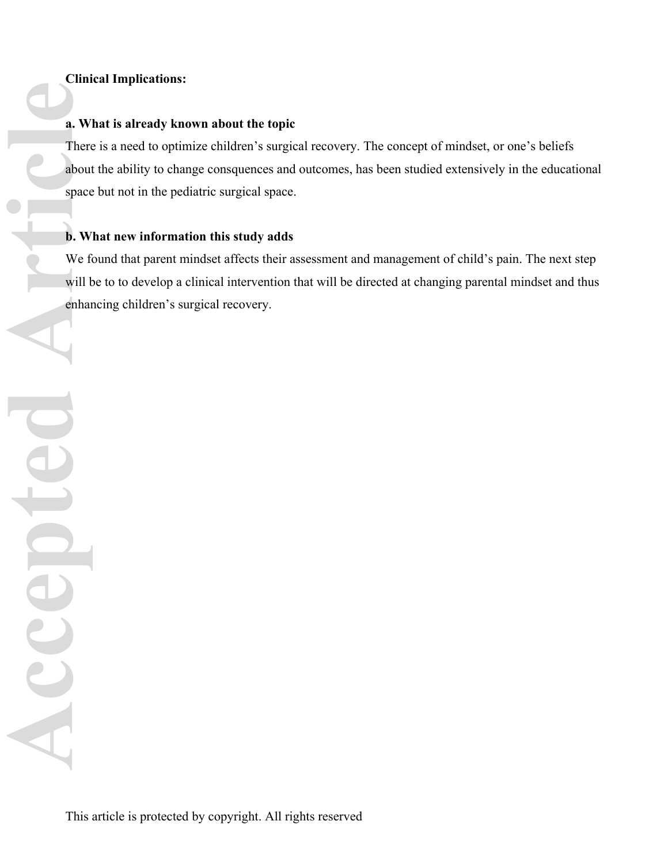### **Clinical Implications:**

### **a. What is already known about the topic**

There is a need to optimize children's surgical recovery. The concept of mindset, or one's beliefs about the ability to change consquences and outcomes, has been studied extensively in the educational space but not in the pediatric surgical space.

## **b. What new information this study adds**

We found that parent mindset affects their assessment and management of child's pain. The next step will be to to develop a clinical intervention that will be directed at changing parental mindset and thus enhancing children's surgical recovery.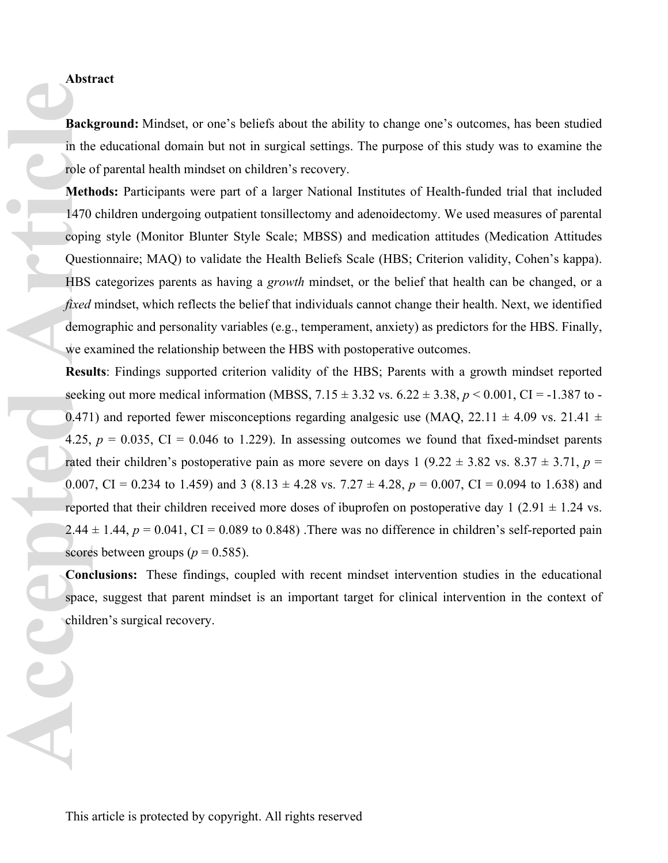**Abstract**

**Background:** Mindset, or one's beliefs about the ability to change one's outcomes, has been studied in the educational domain but not in surgical settings. The purpose of this study was to examine the role of parental health mindset on children's recovery.

**Methods:** Participants were part of a larger National Institutes of Health-funded trial that included 1470 children undergoing outpatient tonsillectomy and adenoidectomy. We used measures of parental coping style (Monitor Blunter Style Scale; MBSS) and medication attitudes (Medication Attitudes Questionnaire; MAQ) to validate the Health Beliefs Scale (HBS; Criterion validity, Cohen's kappa). HBS categorizes parents as having a *growth* mindset, or the belief that health can be changed, or a *fixed* mindset, which reflects the belief that individuals cannot change their health. Next, we identified demographic and personality variables (e.g., temperament, anxiety) as predictors for the HBS. Finally, we examined the relationship between the HBS with postoperative outcomes.

**Results**: Findings supported criterion validity of the HBS; Parents with a growth mindset reported seeking out more medical information (MBSS,  $7.15 \pm 3.32$  vs.  $6.22 \pm 3.38$ ,  $p < 0.001$ , CI = -1.387 to -0.471) and reported fewer misconceptions regarding analgesic use (MAQ, 22.11  $\pm$  4.09 vs. 21.41  $\pm$ 4.25,  $p = 0.035$ , CI = 0.046 to 1.229). In assessing outcomes we found that fixed-mindset parents rated their children's postoperative pain as more severe on days 1 (9.22  $\pm$  3.82 vs. 8.37  $\pm$  3.71, *p* = 0.007, CI = 0.234 to 1.459) and 3 (8.13  $\pm$  4.28 vs. 7.27  $\pm$  4.28,  $p = 0.007$ , CI = 0.094 to 1.638) and reported that their children received more doses of ibuprofen on postoperative day  $1$  (2.91  $\pm$  1.24 vs.  $2.44 \pm 1.44$ ,  $p = 0.041$ , CI = 0.089 to 0.848). There was no difference in children's self-reported pain scores between groups ( $p = 0.585$ ). **Back**<br>
in the<br>
role of<br>
Meth<br>
1470<br>
copin<br>
Ques<br>
HBS<br> *fixed*<br>
demc<br>
we ex<br>
Resu<br>
seeki<br>
0.471<br>
4.25,<br>
rated<br>
0.007<br>
repor<br>
2.44<br>
score<br>
Conception 2.44<br>
score<br>
Conception 2.45<br>
conception 2.44<br>
score<br>
Conception 2.44

**Conclusions:** These findings, coupled with recent mindset intervention studies in the educational space, suggest that parent mindset is an important target for clinical intervention in the context of children's surgical recovery.

This article is protected by copyright. All rights reserved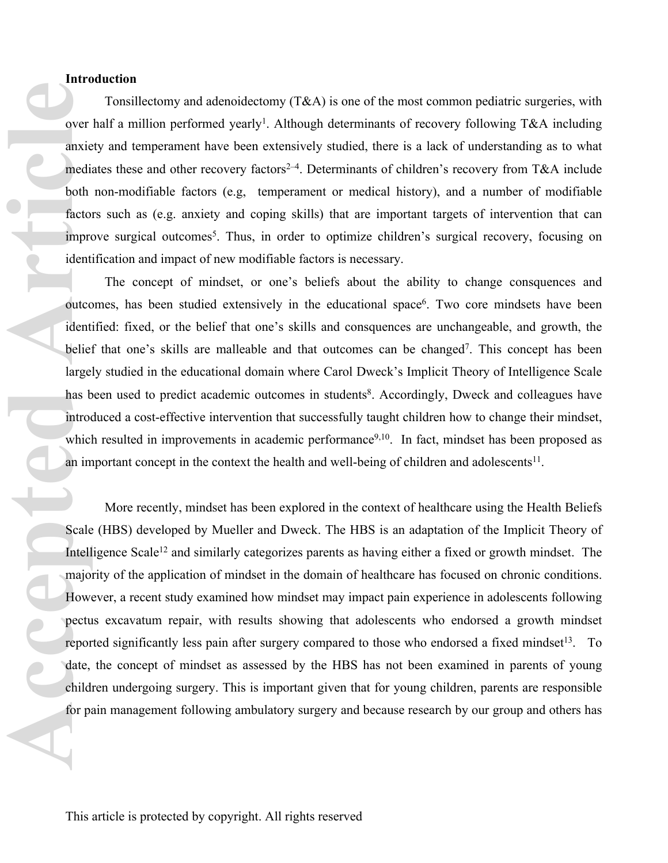## **Introduction**

Tonsillectomy and adenoidectomy (T&A) is one of the most common pediatric surgeries, with over half a million performed yearly<sup>1</sup>. Although determinants of recovery following T&A including anxiety and temperament have been extensively studied, there is a lack of understanding as to what mediates these and other recovery factors<sup>2-4</sup>. Determinants of children's recovery from T&A include both non-modifiable factors (e.g, temperament or medical history), and a number of modifiable factors such as (e.g. anxiety and coping skills) that are important targets of intervention that can improve surgical outcomes<sup>5</sup>. Thus, in order to optimize children's surgical recovery, focusing on identification and impact of new modifiable factors is necessary.

The concept of mindset, or one's beliefs about the ability to change consquences and outcomes, has been studied extensively in the educational space<sup>6</sup>. Two core mindsets have been identified: fixed, or the belief that one's skills and consquences are unchangeable, and growth, the belief that one's skills are malleable and that outcomes can be changed<sup>7</sup>. This concept has been largely studied in the educational domain where Carol Dweck's Implicit Theory of Intelligence Scale has been used to predict academic outcomes in students<sup>8</sup>. Accordingly, Dweck and colleagues have introduced a cost-effective intervention that successfully taught children how to change their mindset, which resulted in improvements in academic performance<sup>9,10</sup>. In fact, mindset has been proposed as an important concept in the context the health and well-being of children and adolescents $11$ .

More recently, mindset has been explored in the context of healthcare using the Health Beliefs Scale (HBS) developed by Mueller and Dweck. The HBS is an adaptation of the Implicit Theory of Intelligence Scale<sup>12</sup> and similarly categorizes parents as having either a fixed or growth mindset. The majority of the application of mindset in the domain of healthcare has focused on chronic conditions. However, a recent study examined how mindset may impact pain experience in adolescents following pectus excavatum repair, with results showing that adolescents who endorsed a growth mindset reported significantly less pain after surgery compared to those who endorsed a fixed mindset<sup>13</sup>. To date, the concept of mindset as assessed by the HBS has not been examined in parents of young children undergoing surgery. This is important given that for young children, parents are responsible for pain management following ambulatory surgery and because research by our group and others has **Accession Contracts** and interest and interest and interest and interest and interest and interest and interest and interest and interest and interest and interest and interest and interest and interest and interest and f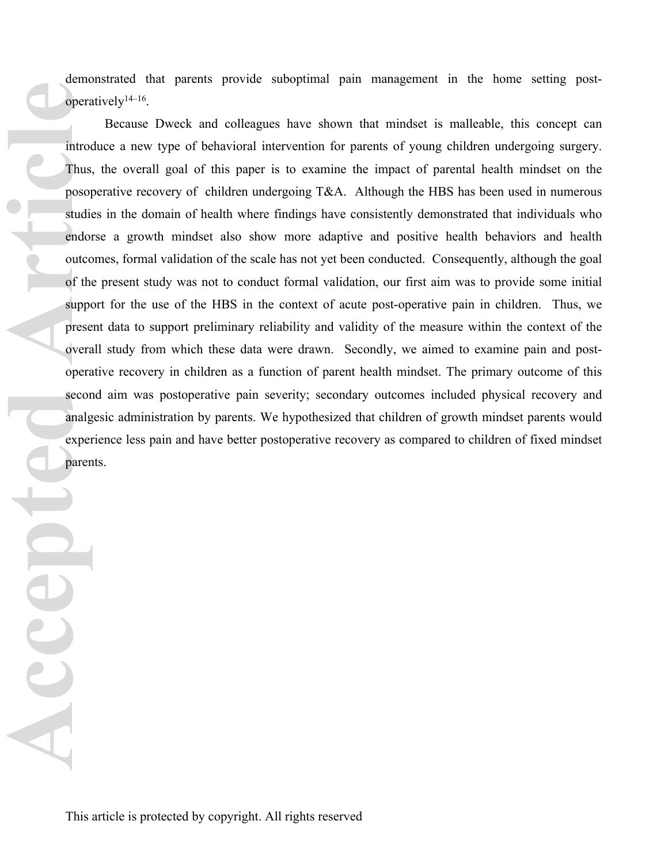demonstrated that parents provide suboptimal pain management in the home setting postoperatively14–16 .

Because Dweck and colleagues have shown that mindset is malleable, this concept can introduce a new type of behavioral intervention for parents of young children undergoing surgery. Thus, the overall goal of this paper is to examine the impact of parental health mindset on the posoperative recovery of children undergoing T&A. Although the HBS has been used in numerous studies in the domain of health where findings have consistently demonstrated that individuals who endorse a growth mindset also show more adaptive and positive health behaviors and health outcomes, formal validation of the scale has not yet been conducted. Consequently, although the goal of the present study was not to conduct formal validation, our first aim was to provide some initial support for the use of the HBS in the context of acute post-operative pain in children. Thus, we present data to support preliminary reliability and validity of the measure within the context of the overall study from which these data were drawn. Secondly, we aimed to examine pain and postoperative recovery in children as a function of parent health mindset. The primary outcome of this second aim was postoperative pain severity; secondary outcomes included physical recovery and analgesic administration by parents. We hypothesized that children of growth mindset parents would experience less pain and have better postoperative recovery as compared to children of fixed mindset parents.

**Accepted Articles**<br> **Accepted Articles**<br> **Accepted Articles**<br> **Accepted Articles**<br> **Accepted Articles**<br> **Accepted Articles**<br> **Accepted Articles**<br> **Accepted Articles**<br> **Accepted Articles**<br> **Accepted Articles**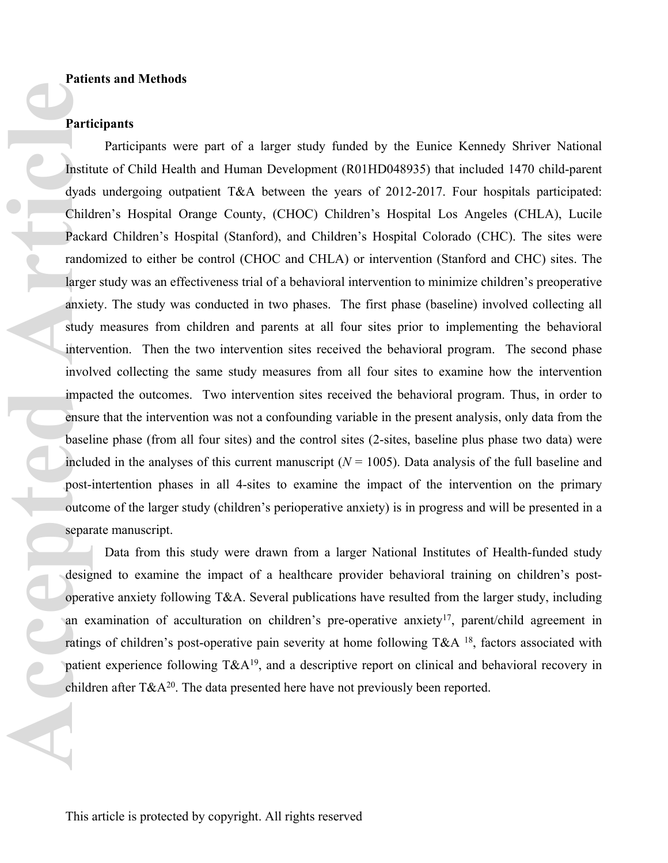#### **Patients and Methods**

#### **Participants**

Participants were part of a larger study funded by the Eunice Kennedy Shriver National Institute of Child Health and Human Development (R01HD048935) that included 1470 child-parent dyads undergoing outpatient T&A between the years of 2012-2017. Four hospitals participated: Children's Hospital Orange County, (CHOC) Children's Hospital Los Angeles (CHLA), Lucile Packard Children's Hospital (Stanford), and Children's Hospital Colorado (CHC). The sites were randomized to either be control (CHOC and CHLA) or intervention (Stanford and CHC) sites. The larger study was an effectiveness trial of a behavioral intervention to minimize children's preoperative anxiety. The study was conducted in two phases. The first phase (baseline) involved collecting all study measures from children and parents at all four sites prior to implementing the behavioral intervention. Then the two intervention sites received the behavioral program. The second phase involved collecting the same study measures from all four sites to examine how the intervention impacted the outcomes. Two intervention sites received the behavioral program. Thus, in order to ensure that the intervention was not a confounding variable in the present analysis, only data from the baseline phase (from all four sites) and the control sites (2-sites, baseline plus phase two data) were included in the analyses of this current manuscript  $(N = 1005)$ . Data analysis of the full baseline and post-intertention phases in all 4-sites to examine the impact of the intervention on the primary outcome of the larger study (children's perioperative anxiety) is in progress and will be presented in a separate manuscript. **Particlerist Instituted Article Contained Article Contained Article Contained Article Separate Contained Article Containing particle Containing particle Contained Containing particle Contained Containing particle Containe** 

Data from this study were drawn from a larger National Institutes of Health-funded study designed to examine the impact of a healthcare provider behavioral training on children's postoperative anxiety following T&A. Several publications have resulted from the larger study, including an examination of acculturation on children's pre-operative anxiety<sup>17</sup>, parent/child agreement in ratings of children's post-operative pain severity at home following T&A  $^{18}$ , factors associated with patient experience following T&A<sup>19</sup>, and a descriptive report on clinical and behavioral recovery in children after  $T\&A^{20}$ . The data presented here have not previously been reported.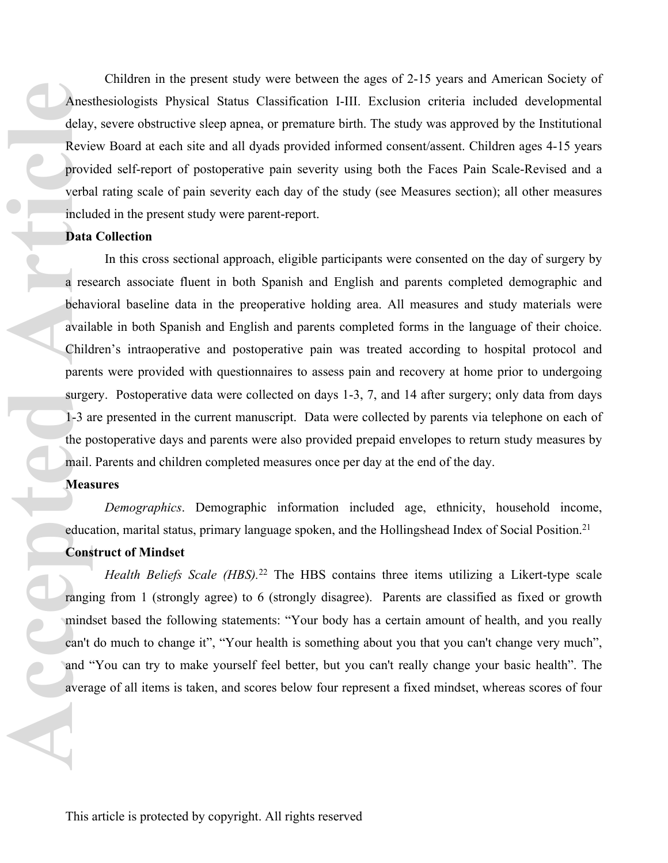Children in the present study were between the ages of 2-15 years and American Society of Anesthesiologists Physical Status Classification I-III. Exclusion criteria included developmental delay, severe obstructive sleep apnea, or premature birth. The study was approved by the Institutional Review Board at each site and all dyads provided informed consent/assent. Children ages 4-15 years provided self-report of postoperative pain severity using both the Faces Pain Scale-Revised and a verbal rating scale of pain severity each day of the study (see Measures section); all other measures included in the present study were parent-report.

#### **Data Collection**

In this cross sectional approach, eligible participants were consented on the day of surgery by a research associate fluent in both Spanish and English and parents completed demographic and behavioral baseline data in the preoperative holding area. All measures and study materials were available in both Spanish and English and parents completed forms in the language of their choice. Children's intraoperative and postoperative pain was treated according to hospital protocol and parents were provided with questionnaires to assess pain and recovery at home prior to undergoing surgery. Postoperative data were collected on days 1-3, 7, and 14 after surgery; only data from days 1-3 are presented in the current manuscript. Data were collected by parents via telephone on each of the postoperative days and parents were also provided prepaid envelopes to return study measures by mail. Parents and children completed measures once per day at the end of the day. Anes<br>
delay<br>
Revis<br>
provi<br>
verba<br>
inclue<br>
Data<br> **Anes**<br>
Revis<br>
provi<br>
verba<br> **Data**<br>
a res<br>
behav<br>
avails<br>
Child<br>
paren<br>
surge<br>
1-3 a<br>
the p<br>
mail.<br>
Meas<br>
educa<br>
Cons<br>
rangi<br>
mail.<br>
Meas<br>
educa<br>
duca<br>
duca<br>
duca<br>
duca<br>
duc

#### **Measures**

*Demographics*. Demographic information included age, ethnicity, household income, education, marital status, primary language spoken, and the Hollingshead Index of Social Position.<sup>21</sup>

#### **Construct of Mindset**

*Health Beliefs Scale (HBS).*<sup>22</sup> The HBS contains three items utilizing a Likert-type scale ranging from 1 (strongly agree) to 6 (strongly disagree). Parents are classified as fixed or growth mindset based the following statements: "Your body has a certain amount of health, and you really can't do much to change it", "Your health is something about you that you can't change very much", and "You can try to make yourself feel better, but you can't really change your basic health". The average of all items is taken, and scores below four represent a fixed mindset, whereas scores of four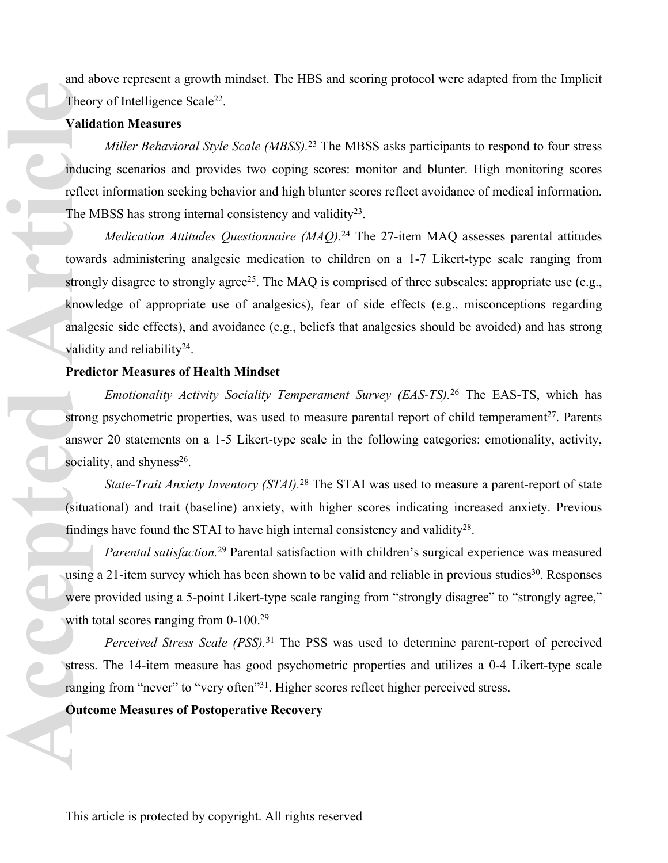and above represent a growth mindset. The HBS and scoring protocol were adapted from the Implicit Theory of Intelligence Scale<sup>22</sup>.

#### **Validation Measures**

*Miller Behavioral Style Scale (MBSS).*<sup>23</sup> The MBSS asks participants to respond to four stress inducing scenarios and provides two coping scores: monitor and blunter. High monitoring scores reflect information seeking behavior and high blunter scores reflect avoidance of medical information. The MBSS has strong internal consistency and validity<sup>23</sup>.

*Medication Attitudes Questionnaire (MAQ).*<sup>24</sup> The 27-item MAQ assesses parental attitudes towards administering analgesic medication to children on a 1-7 Likert-type scale ranging from strongly disagree to strongly agree<sup>25</sup>. The MAQ is comprised of three subscales: appropriate use (e.g., knowledge of appropriate use of analgesics), fear of side effects (e.g., misconceptions regarding analgesic side effects), and avoidance (e.g., beliefs that analgesics should be avoided) and has strong validity and reliability<sup>24</sup>. Theo<br>
Valid<br>
induc<br>
reflect<br>
The P<br>
towar<br>
stron;<br>
know<br>
analg<br>
valid<br>
Pred<br>
stron;<br>
answ<br>
socia<br>
(situa<br>
findin<br>
using<br>
were<br>
were<br>
were<br>
town<br>
induced Stron;<br>
stron;<br>
stron;<br>
stron;<br>
stron;<br>
stron;<br>
stron;<br>
stron;<br>
stron

#### **Predictor Measures of Health Mindset**

*Emotionality Activity Sociality Temperament Survey (EAS-TS).*<sup>26</sup> The EAS-TS, which has strong psychometric properties, was used to measure parental report of child temperament<sup>27</sup>. Parents answer 20 statements on a 1-5 Likert-type scale in the following categories: emotionality, activity, sociality, and shyness $26$ .

*State-Trait Anxiety Inventory (STAI).*<sup>28</sup> The STAI was used to measure a parent-report of state (situational) and trait (baseline) anxiety, with higher scores indicating increased anxiety. Previous findings have found the STAI to have high internal consistency and validity<sup>28</sup>.

*Parental satisfaction.*<sup>29</sup> Parental satisfaction with children's surgical experience was measured using a 21-item survey which has been shown to be valid and reliable in previous studies<sup>30</sup>. Responses were provided using a 5-point Likert-type scale ranging from "strongly disagree" to "strongly agree," with total scores ranging from 0-100.<sup>29</sup>

*Perceived Stress Scale (PSS).*<sup>31</sup> The PSS was used to determine parent-report of perceived stress. The 14-item measure has good psychometric properties and utilizes a 0-4 Likert-type scale ranging from "never" to "very often"<sup>31</sup>. Higher scores reflect higher perceived stress.

**Outcome Measures of Postoperative Recovery**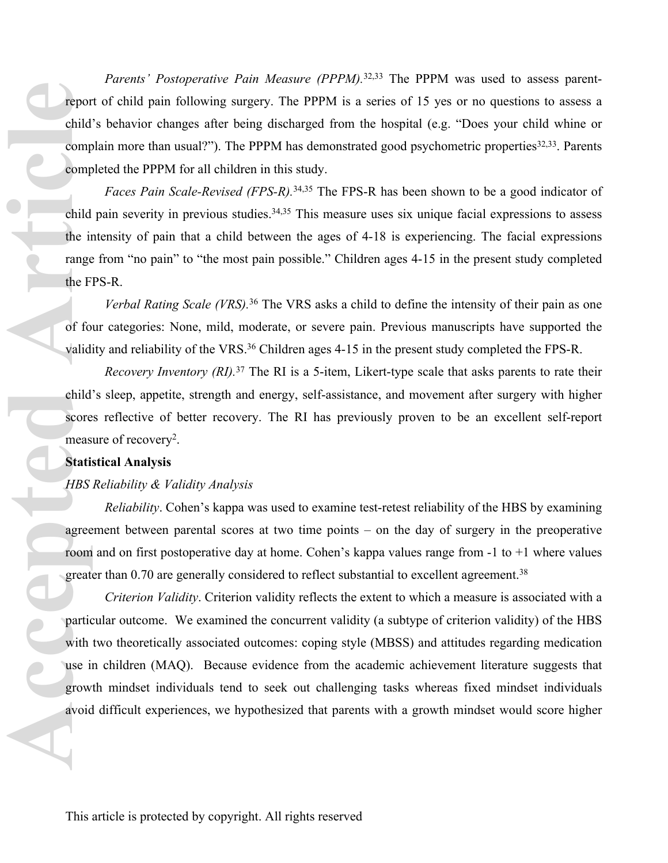*Parents' Postoperative Pain Measure (PPPM).*<sup>32,33</sup> The PPPM was used to assess parentreport of child pain following surgery. The PPPM is a series of 15 yes or no questions to assess a child's behavior changes after being discharged from the hospital (e.g. "Does your child whine or complain more than usual?"). The PPPM has demonstrated good psychometric properties $32,33$ . Parents completed the PPPM for all children in this study.

*Faces Pain Scale-Revised (FPS-R).*34,35 The FPS-R has been shown to be a good indicator of child pain severity in previous studies.<sup>34,35</sup> This measure uses six unique facial expressions to assess the intensity of pain that a child between the ages of 4-18 is experiencing. The facial expressions range from "no pain" to "the most pain possible." Children ages 4-15 in the present study completed the FPS-R.

*Verbal Rating Scale (VRS).*<sup>36</sup> The VRS asks a child to define the intensity of their pain as one of four categories: None, mild, moderate, or severe pain. Previous manuscripts have supported the validity and reliability of the VRS.<sup>36</sup> Children ages 4-15 in the present study completed the FPS-R.

*Recovery Inventory (RI).*<sup>37</sup> The RI is a 5-item, Likert-type scale that asks parents to rate their child's sleep, appetite, strength and energy, self-assistance, and movement after surgery with higher scores reflective of better recovery. The RI has previously proven to be an excellent self-report measure of recovery<sup>2</sup>.

#### **Statistical Analysis**

#### *HBS Reliability & Validity Analysis*

*Reliability*. Cohen's kappa was used to examine test-retest reliability of the HBS by examining agreement between parental scores at two time points – on the day of surgery in the preoperative room and on first postoperative day at home. Cohen's kappa values range from -1 to +1 where values greater than 0.70 are generally considered to reflect substantial to excellent agreement.<sup>38</sup>

*Criterion Validity*. Criterion validity reflects the extent to which a measure is associated with a particular outcome. We examined the concurrent validity (a subtype of criterion validity) of the HBS with two theoretically associated outcomes: coping style (MBSS) and attitudes regarding medication use in children (MAQ). Because evidence from the academic achievement literature suggests that growth mindset individuals tend to seek out challenging tasks whereas fixed mindset individuals avoid difficult experiences, we hypothesized that parents with a growth mindset would score higher **Preport**<br>
Competion competion<br>
Competion child<br>
the interaction child<br>
child<br>
child<br>
score<br>
meas<br>
Statistics<br>
HBS<br>
agree<br>
competition competition competition<br>
predict<br>
partic with<br>
use interaction<br>
avoid<br>
avoid<br>
avoid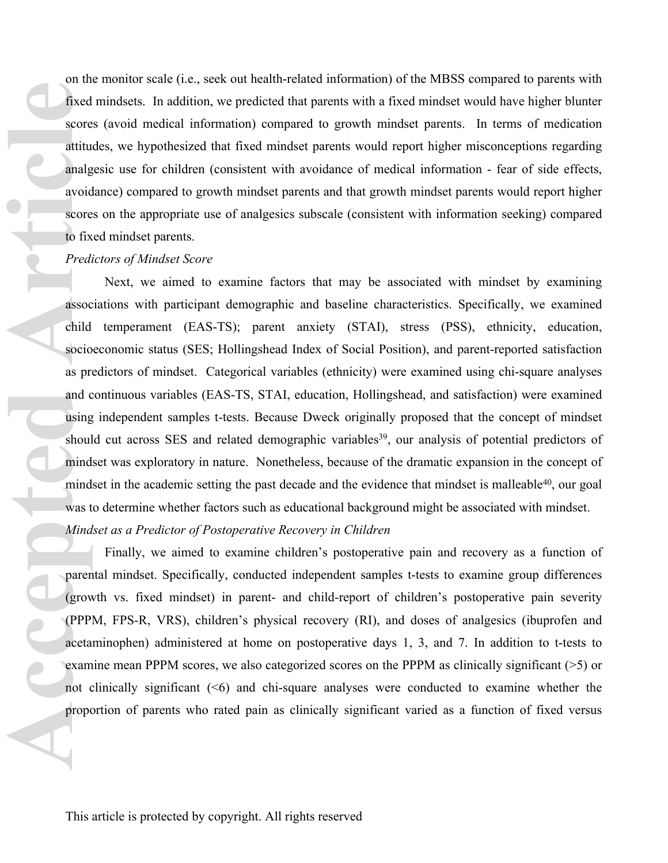on the monitor scale (i.e., seek out health-related information) of the MBSS compared to parents with fixed mindsets. In addition, we predicted that parents with a fixed mindset would have higher blunter scores (avoid medical information) compared to growth mindset parents. In terms of medication attitudes, we hypothesized that fixed mindset parents would report higher misconceptions regarding analgesic use for children (consistent with avoidance of medical information - fear of side effects, avoidance) compared to growth mindset parents and that growth mindset parents would report higher scores on the appropriate use of analgesics subscale (consistent with information seeking) compared to fixed mindset parents.

#### *Predictors of Mindset Score*

Next, we aimed to examine factors that may be associated with mindset by examining associations with participant demographic and baseline characteristics. Specifically, we examined child temperament (EAS-TS); parent anxiety (STAI), stress (PSS), ethnicity, education, socioeconomic status (SES; Hollingshead Index of Social Position), and parent-reported satisfaction as predictors of mindset. Categorical variables (ethnicity) were examined using chi-square analyses and continuous variables (EAS-TS, STAI, education, Hollingshead, and satisfaction) were examined using independent samples t-tests. Because Dweck originally proposed that the concept of mindset should cut across SES and related demographic variables<sup>39</sup>, our analysis of potential predictors of mindset was exploratory in nature. Nonetheless, because of the dramatic expansion in the concept of mindset in the academic setting the past decade and the evidence that mindset is malleable<sup>40</sup>, our goal was to determine whether factors such as educational background might be associated with mindset. Fixed<br>
score<br>
attitu<br>
analg<br>
avoid<br>
score<br>
to fix<br> *Predi*<br>
assoc<br>
child<br>
socio<br>
as pro<br>
and c<br>
using<br>
shoul<br>
mind<br>
mind<br>
mind<br>
mind<br>
mind<br>
mind<br>
mind<br>
parent<br>
(grow<br>
(PPP)<br>
acta<br>
assoc<br>
child<br>
mind<br>
mind<br>
parent<br>
grow<br>
(P

## *Mindset as a Predictor of Postoperative Recovery in Children*

Finally, we aimed to examine children's postoperative pain and recovery as a function of parental mindset. Specifically, conducted independent samples t-tests to examine group differences (growth vs. fixed mindset) in parent- and child-report of children's postoperative pain severity (PPPM, FPS-R, VRS), children's physical recovery (RI), and doses of analgesics (ibuprofen and acetaminophen) administered at home on postoperative days 1, 3, and 7. In addition to t-tests to examine mean PPPM scores, we also categorized scores on the PPPM as clinically significant (>5) or not clinically significant  $(5)$  and chi-square analyses were conducted to examine whether the proportion of parents who rated pain as clinically significant varied as a function of fixed versus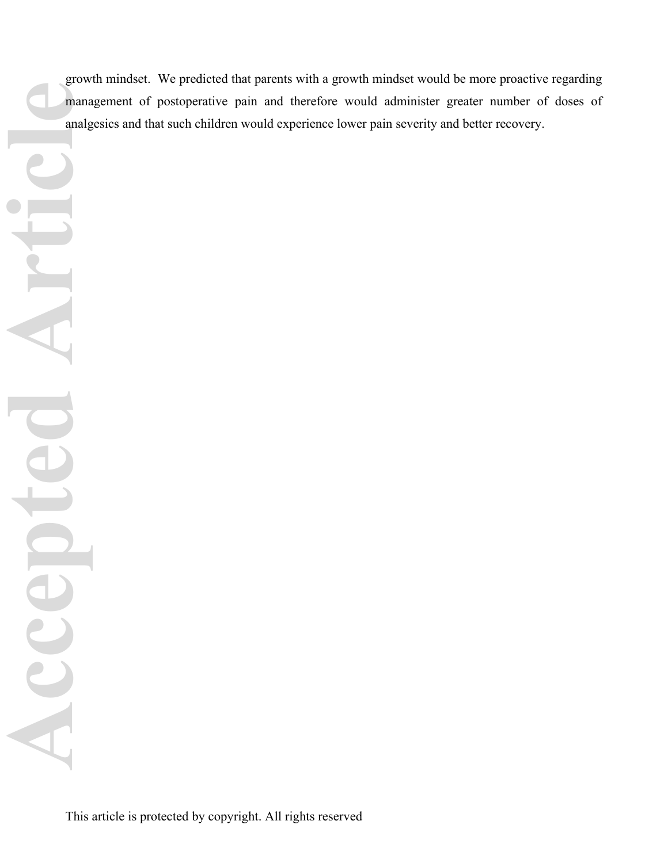growth mindset. We predicted that parents with a growth mindset would be more proactive regarding management of postoperative pain and therefore would administer greater number of doses of analgesics and that such children would experience lower pain severity and better recovery.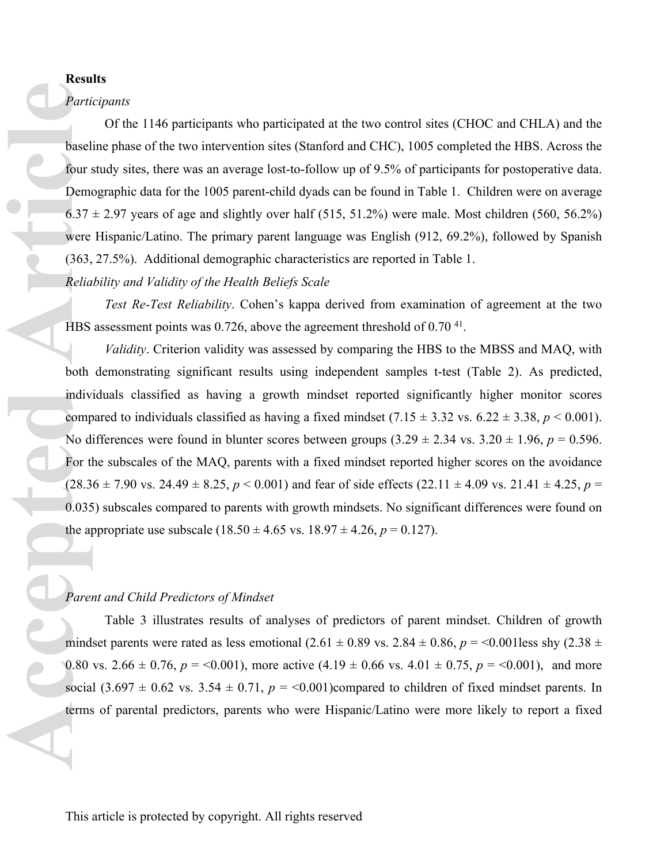## **Results**

#### *Participants*

Of the 1146 participants who participated at the two control sites (CHOC and CHLA) and the baseline phase of the two intervention sites (Stanford and CHC), 1005 completed the HBS. Across the four study sites, there was an average lost-to-follow up of 9.5% of participants for postoperative data. Demographic data for the 1005 parent-child dyads can be found in Table 1. Children were on average  $6.37 \pm 2.97$  years of age and slightly over half (515, 51.2%) were male. Most children (560, 56.2%) were Hispanic/Latino. The primary parent language was English (912, 69.2%), followed by Spanish (363, 27.5%). Additional demographic characteristics are reported in Table 1.

## *Reliability and Validity of the Health Beliefs Scale*

*Test Re-Test Reliability*. Cohen's kappa derived from examination of agreement at the two HBS assessment points was 0.726, above the agreement threshold of 0.70<sup>41</sup>.

*Validity*. Criterion validity was assessed by comparing the HBS to the MBSS and MAQ, with both demonstrating significant results using independent samples t-test (Table 2). As predicted, individuals classified as having a growth mindset reported significantly higher monitor scores compared to individuals classified as having a fixed mindset  $(7.15 \pm 3.32 \text{ vs. } 6.22 \pm 3.38, p \le 0.001)$ . No differences were found in blunter scores between groups  $(3.29 \pm 2.34 \text{ vs. } 3.20 \pm 1.96, p = 0.596$ . For the subscales of the MAQ, parents with a fixed mindset reported higher scores on the avoidance  $(28.36 \pm 7.90 \text{ vs. } 24.49 \pm 8.25, p < 0.001)$  and fear of side effects  $(22.11 \pm 4.09 \text{ vs. } 21.41 \pm 4.25, p =$ 0.035) subscales compared to parents with growth mindsets. No significant differences were found on the appropriate use subscale  $(18.50 \pm 4.65 \text{ vs. } 18.97 \pm 4.26, p = 0.127)$ . Particles basel<br>
basel<br>
four s<br>
Demo<br>
6.37<br>
were<br>
(363, Relia<br>
HBS<br>
both indiv<br>
comp<br>
No d<br>
For tl<br>
(28.3<br>
0.035<br>
the ap<br>
Paren<br>
mind<br>
0.8<br>
s<br>
s<br>
comp<br>
No d<br>
For tl<br>
28.3<br>
mind<br>
28.3<br>
the applicance of the applement<br>
mind<br>

#### *Parent and Child Predictors of Mindset*

Table 3 illustrates results of analyses of predictors of parent mindset. Children of growth mindset parents were rated as less emotional  $(2.61 \pm 0.89 \text{ vs. } 2.84 \pm 0.86, p = 0.001 \text{ less} \text{ sky } (2.38 \pm 0.001 \text{ s})$ 0.80 vs. 2.66  $\pm$  0.76,  $p =$  <0.001), more active (4.19  $\pm$  0.66 vs. 4.01  $\pm$  0.75,  $p =$  <0.001), and more social  $(3.697 \pm 0.62 \text{ vs. } 3.54 \pm 0.71, p = 0.001)$ compared to children of fixed mindset parents. In terms of parental predictors, parents who were Hispanic/Latino were more likely to report a fixed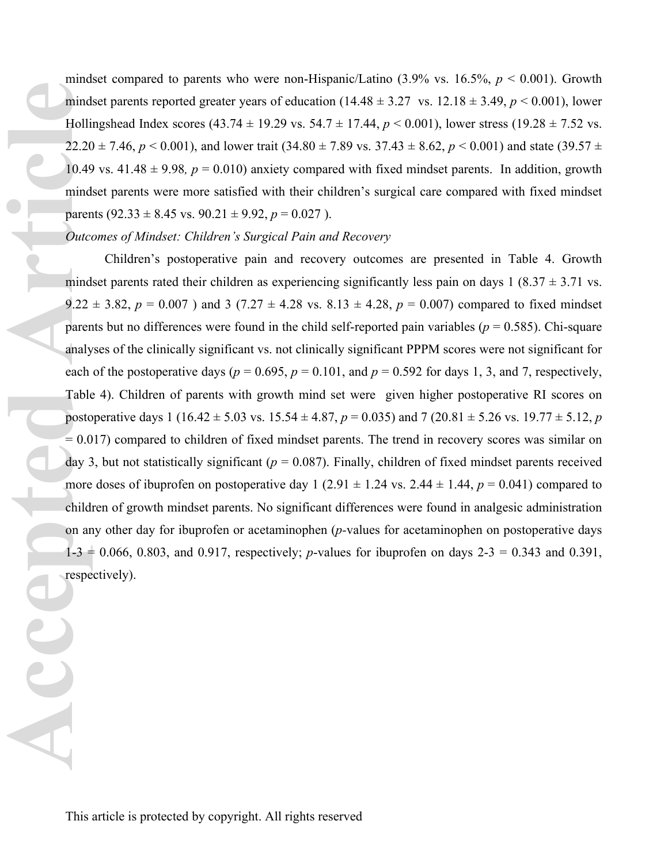mindset compared to parents who were non-Hispanic/Latino  $(3.9\% \text{ vs. } 16.5\%, p \le 0.001)$ . Growth mindset parents reported greater years of education  $(14.48 \pm 3.27 \text{ vs. } 12.18 \pm 3.49, p < 0.001)$ , lower Hollingshead Index scores (43.74  $\pm$  19.29 vs. 54.7  $\pm$  17.44,  $p < 0.001$ ), lower stress (19.28  $\pm$  7.52 vs.  $22.20 \pm 7.46$ ,  $p < 0.001$ ), and lower trait (34.80  $\pm$  7.89 vs. 37.43  $\pm$  8.62,  $p < 0.001$ ) and state (39.57  $\pm$ 10.49 vs.  $41.48 \pm 9.98$ ,  $p = 0.010$ ) anxiety compared with fixed mindset parents. In addition, growth mindset parents were more satisfied with their children's surgical care compared with fixed mindset parents  $(92.33 \pm 8.45 \text{ vs. } 90.21 \pm 9.92, p = 0.027)$ .

#### *Outcomes of Mindset: Children's Surgical Pain and Recovery*

Children's postoperative pain and recovery outcomes are presented in Table 4. Growth mindset parents rated their children as experiencing significantly less pain on days  $1 (8.37 \pm 3.71 \text{ vs.})$  $9.22 \pm 3.82$ ,  $p = 0.007$  ) and 3 (7.27  $\pm$  4.28 vs. 8.13  $\pm$  4.28,  $p = 0.007$ ) compared to fixed mindset parents but no differences were found in the child self-reported pain variables ( $p = 0.585$ ). Chi-square analyses of the clinically significant vs. not clinically significant PPPM scores were not significant for each of the postoperative days ( $p = 0.695$ ,  $p = 0.101$ , and  $p = 0.592$  for days 1, 3, and 7, respectively, Table 4). Children of parents with growth mind set were given higher postoperative RI scores on postoperative days 1 (16.42  $\pm$  5.03 vs. 15.54  $\pm$  4.87, *p* = 0.035) and 7 (20.81  $\pm$  5.26 vs. 19.77  $\pm$  5.12, *p*  $= 0.017$ ) compared to children of fixed mindset parents. The trend in recovery scores was similar on day 3, but not statistically significant ( $p = 0.087$ ). Finally, children of fixed mindset parents received more doses of ibuprofen on postoperative day 1 (2.91  $\pm$  1.24 vs. 2.44  $\pm$  1.44,  $p = 0.041$ ) compared to children of growth mindset parents. No significant differences were found in analgesic administration on any other day for ibuprofen or acetaminophen (*p-*values for acetaminophen on postoperative days  $1-3 = 0.066, 0.803,$  and 0.917, respectively; *p*-values for ibuprofen on days  $2-3 = 0.343$  and 0.391, respectively). mind<br>
Holli<br>
22.20<br>
10.49<br>
mind<br>
paren<br>
Outce<br>
mind<br>
9.22<br>
paren<br>
analy<br>
each<br>
Table<br>
posto<br>
= 0.0<br>
day 3<br>
more<br>
child<br>
on an<br>
1-3<br>
respect to the line of the state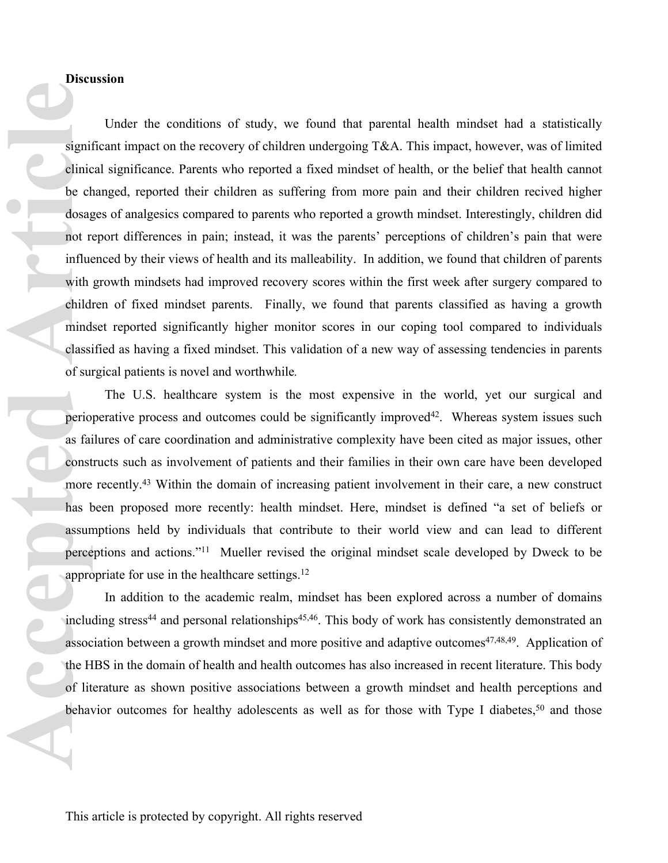#### **Discussion**

Under the conditions of study, we found that parental health mindset had a statistically significant impact on the recovery of children undergoing T&A. This impact, however, was of limited clinical significance. Parents who reported a fixed mindset of health, or the belief that health cannot be changed, reported their children as suffering from more pain and their children recived higher dosages of analgesics compared to parents who reported a growth mindset. Interestingly, children did not report differences in pain; instead, it was the parents' perceptions of children's pain that were influenced by their views of health and its malleability. In addition, we found that children of parents with growth mindsets had improved recovery scores within the first week after surgery compared to children of fixed mindset parents. Finally, we found that parents classified as having a growth mindset reported significantly higher monitor scores in our coping tool compared to individuals classified as having a fixed mindset. This validation of a new way of assessing tendencies in parents of surgical patients is novel and worthwhile*.* **Example 12**<br> **Acception**<br> **Accepted Article**<br> **Accepted**<br> **Accepted Article**<br> **Accepted Article**<br> **Accepted Article**<br> **Accepted Article**<br> **Accepted Article**<br> **Accepted Article**<br> **Accepted Article**<br> **Accepted Article**<br> **Ac** 

The U.S. healthcare system is the most expensive in the world, yet our surgical and perioperative process and outcomes could be significantly improved<sup>42</sup>. Whereas system issues such as failures of care coordination and administrative complexity have been cited as major issues, other constructs such as involvement of patients and their families in their own care have been developed more recently.<sup>43</sup> Within the domain of increasing patient involvement in their care, a new construct has been proposed more recently: health mindset. Here, mindset is defined "a set of beliefs or assumptions held by individuals that contribute to their world view and can lead to different perceptions and actions."<sup>11</sup> Mueller revised the original mindset scale developed by Dweck to be appropriate for use in the healthcare settings.<sup>12</sup>

In addition to the academic realm, mindset has been explored across a number of domains including stress<sup>44</sup> and personal relationships<sup>45,46</sup>. This body of work has consistently demonstrated an association between a growth mindset and more positive and adaptive outcomes<sup>47,48,49</sup>. Application of the HBS in the domain of health and health outcomes has also increased in recent literature. This body of literature as shown positive associations between a growth mindset and health perceptions and behavior outcomes for healthy adolescents as well as for those with Type I diabetes,<sup>50</sup> and those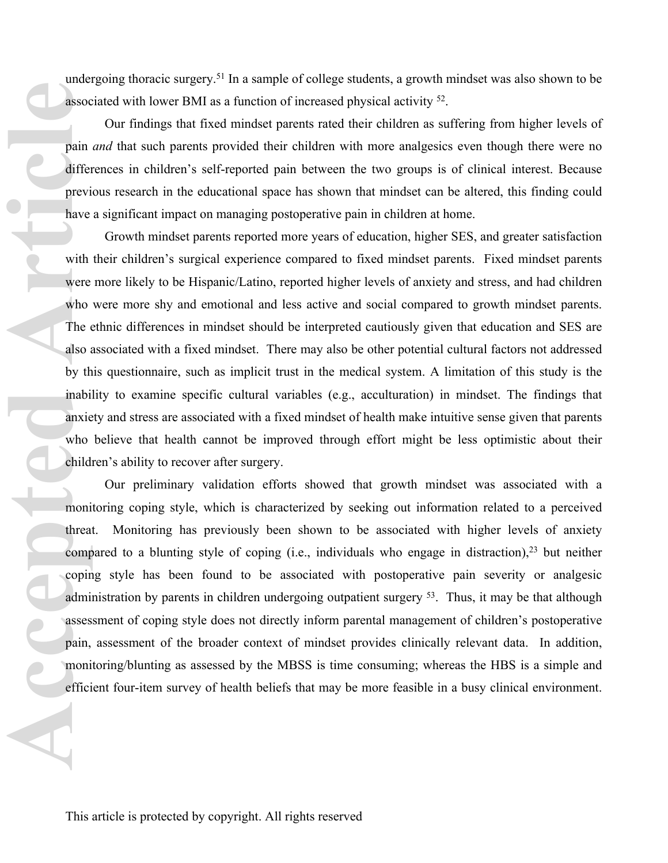undergoing thoracic surgery.<sup>51</sup> In a sample of college students, a growth mindset was also shown to be associated with lower BMI as a function of increased physical activity <sup>52</sup>.

Our findings that fixed mindset parents rated their children as suffering from higher levels of pain *and* that such parents provided their children with more analgesics even though there were no differences in children's self-reported pain between the two groups is of clinical interest. Because previous research in the educational space has shown that mindset can be altered, this finding could have a significant impact on managing postoperative pain in children at home.

Growth mindset parents reported more years of education, higher SES, and greater satisfaction with their children's surgical experience compared to fixed mindset parents. Fixed mindset parents were more likely to be Hispanic/Latino, reported higher levels of anxiety and stress, and had children who were more shy and emotional and less active and social compared to growth mindset parents. The ethnic differences in mindset should be interpreted cautiously given that education and SES are also associated with a fixed mindset. There may also be other potential cultural factors not addressed by this questionnaire, such as implicit trust in the medical system. A limitation of this study is the inability to examine specific cultural variables (e.g., acculturation) in mindset. The findings that anxiety and stress are associated with a fixed mindset of health make intuitive sense given that parents who believe that health cannot be improved through effort might be less optimistic about their children's ability to recover after surgery. assoc<br>
pain<br>
differ<br>
previ<br>
have<br>
with<br>
were<br>
who<br>
The e<br>
also a<br>
by th<br>
inabi<br>
anxie<br>
who<br>
child:<br>
moni<br>
threat<br>
comp<br>
copin<br>
admin<br>
asses<br>
pain,<br>
moni<br>
threat<br>
comp<br>
copin<br>
admin<br>
asses<br>
pain,<br>
moni<br>
dmin<br>
admin<br>
asses<br>

Our preliminary validation efforts showed that growth mindset was associated with a monitoring coping style, which is characterized by seeking out information related to a perceived threat. Monitoring has previously been shown to be associated with higher levels of anxiety compared to a blunting style of coping (i.e., individuals who engage in distraction),  $23$  but neither coping style has been found to be associated with postoperative pain severity or analgesic administration by parents in children undergoing outpatient surgery <sup>53</sup>. Thus, it may be that although assessment of coping style does not directly inform parental management of children's postoperative pain, assessment of the broader context of mindset provides clinically relevant data. In addition, monitoring/blunting as assessed by the MBSS is time consuming; whereas the HBS is a simple and efficient four-item survey of health beliefs that may be more feasible in a busy clinical environment.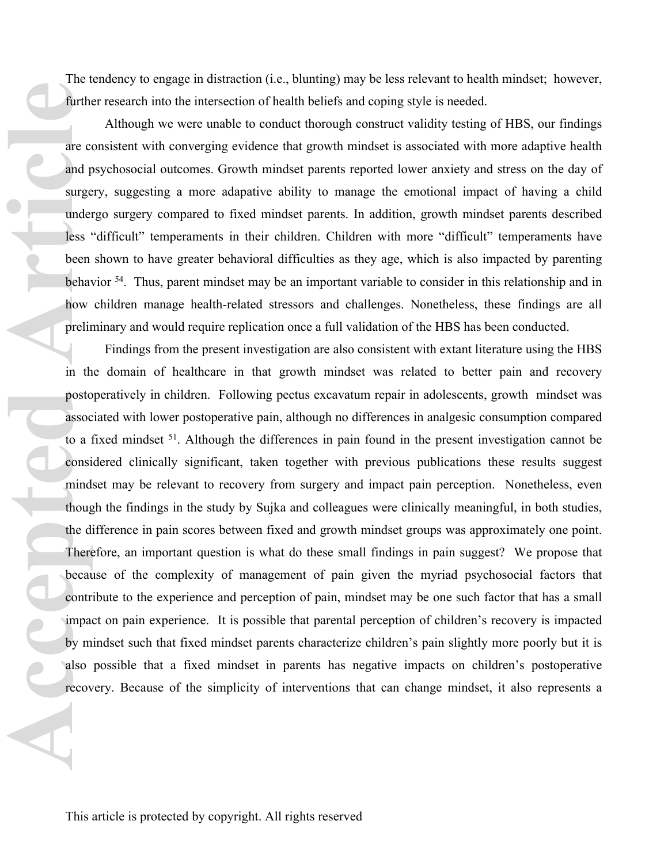The tendency to engage in distraction (i.e., blunting) may be less relevant to health mindset; however, further research into the intersection of health beliefs and coping style is needed.

Although we were unable to conduct thorough construct validity testing of HBS, our findings are consistent with converging evidence that growth mindset is associated with more adaptive health and psychosocial outcomes. Growth mindset parents reported lower anxiety and stress on the day of surgery, suggesting a more adapative ability to manage the emotional impact of having a child undergo surgery compared to fixed mindset parents. In addition, growth mindset parents described less "difficult" temperaments in their children. Children with more "difficult" temperaments have been shown to have greater behavioral difficulties as they age, which is also impacted by parenting behavior <sup>54</sup>. Thus, parent mindset may be an important variable to consider in this relationship and in how children manage health-related stressors and challenges. Nonetheless, these findings are all preliminary and would require replication once a full validation of the HBS has been conducted.

Findings from the present investigation are also consistent with extant literature using the HBS in the domain of healthcare in that growth mindset was related to better pain and recovery postoperatively in children. Following pectus excavatum repair in adolescents, growth mindset was associated with lower postoperative pain, although no differences in analgesic consumption compared to a fixed mindset <sup>51</sup>. Although the differences in pain found in the present investigation cannot be considered clinically significant, taken together with previous publications these results suggest mindset may be relevant to recovery from surgery and impact pain perception. Nonetheless, even though the findings in the study by Sujka and colleagues were clinically meaningful, in both studies, the difference in pain scores between fixed and growth mindset groups was approximately one point. Therefore, an important question is what do these small findings in pain suggest? We propose that because of the complexity of management of pain given the myriad psychosocial factors that contribute to the experience and perception of pain, mindset may be one such factor that has a small impact on pain experience. It is possible that parental perception of children's recovery is impacted by mindset such that fixed mindset parents characterize children's pain slightly more poorly but it is also possible that a fixed mindset in parents has negative impacts on children's postoperative recovery. Because of the simplicity of interventions that can change mindset, it also represents a Furthe<br>
are co<br>
and p<br>
surge<br>
under<br>
less<br>
been<br>
behav<br>
how<br>
prelir<br>
in th<br>
posto<br>
assoc<br>
to a l<br>
consi<br>
mind<br>
thoug<br>
the d<br>
consi<br>
mind<br>
thoug<br>
the d<br>
consi<br>
mind<br>
becau<br>
contr<br>
prelir<br>
becau<br>
contr<br>
impa<br>
by m<br>
also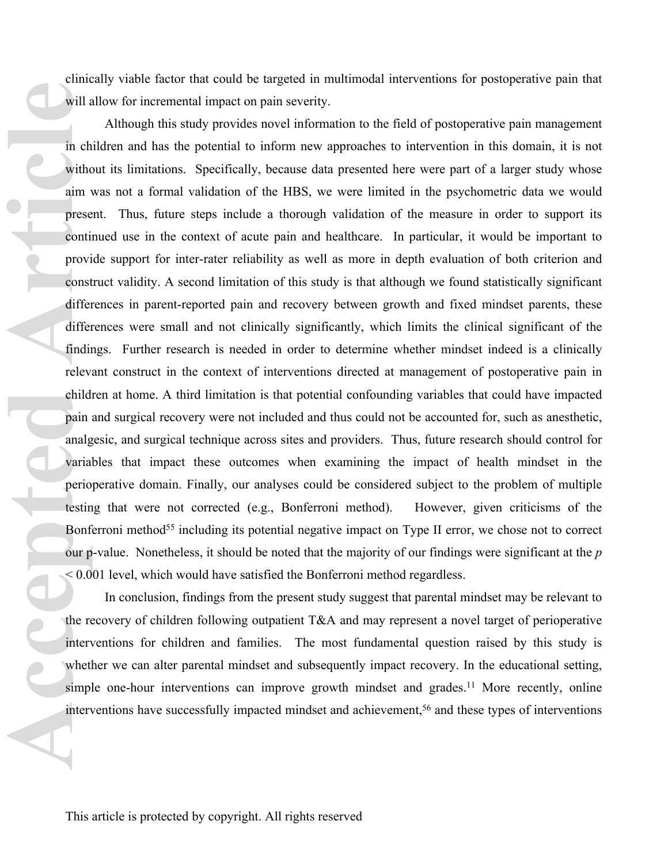clinically viable factor that could be targeted in multimodal interventions for postoperative pain that will allow for incremental impact on pain severity.

Although this study provides novel information to the field of postoperative pain management in children and has the potential to inform new approaches to intervention in this domain, it is not without its limitations. Specifically, because data presented here were part of a larger study whose aim was not a formal validation of the HBS, we were limited in the psychometric data we would present. Thus, future steps include a thorough validation of the measure in order to support its continued use in the context of acute pain and healthcare. In particular, it would be important to provide support for inter-rater reliability as well as more in depth evaluation of both criterion and construct validity. A second limitation of this study is that although we found statistically significant differences in parent-reported pain and recovery between growth and fixed mindset parents, these differences were small and not clinically significantly, which limits the clinical significant of the findings. Further research is needed in order to determine whether mindset indeed is a clinically relevant construct in the context of interventions directed at management of postoperative pain in children at home. A third limitation is that potential confounding variables that could have impacted pain and surgical recovery were not included and thus could not be accounted for, such as anesthetic, analgesic, and surgical technique across sites and providers. Thus, future research should control for variables that impact these outcomes when examining the impact of health mindset in the perioperative domain. Finally, our analyses could be considered subject to the problem of multiple testing that were not corrected (e.g., Bonferroni method). However, given criticisms of the Bonferroni method<sup>55</sup> including its potential negative impact on Type II error, we chose not to correct our p-value. Nonetheless, it should be noted that the majority of our findings were significant at the *p* < 0.001 level, which would have satisfied the Bonferroni method regardless. Will a<br>
in ch<br>
in ch<br>
with aim<br>
prese<br>
contin<br>
prese<br>
contin<br>
provi<br>
const<br>
differ<br>
differ<br>
findin<br>
releva<br>
child<br>
pain a analg<br>
varial<br>
pain a analg<br>
varial<br>
pain is<br>
a analg<br>
varial<br>
perio<br>
testin<br>
Bonf<br>
cur p<br>
<0.0<br>
the

In conclusion, findings from the present study suggest that parental mindset may be relevant to the recovery of children following outpatient T&A and may represent a novel target of perioperative interventions for children and families. The most fundamental question raised by this study is whether we can alter parental mindset and subsequently impact recovery. In the educational setting, simple one-hour interventions can improve growth mindset and grades.<sup>11</sup> More recently, online interventions have successfully impacted mindset and achievement,<sup>56</sup> and these types of interventions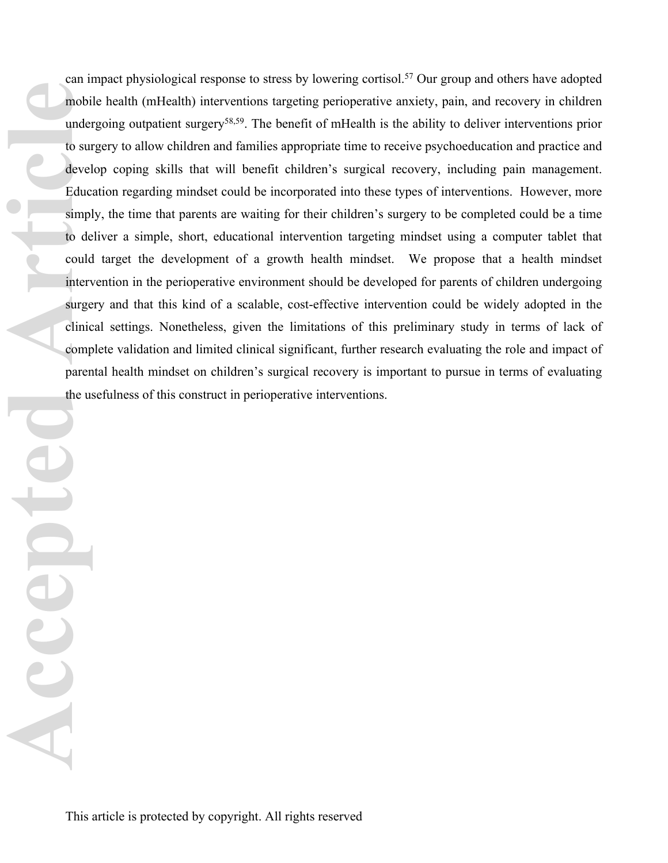can impact physiological response to stress by lowering cortisol.<sup>57</sup> Our group and others have adopted mobile health (mHealth) interventions targeting perioperative anxiety, pain, and recovery in children undergoing outpatient surgery<sup>58,59</sup>. The benefit of mHealth is the ability to deliver interventions prior to surgery to allow children and families appropriate time to receive psychoeducation and practice and develop coping skills that will benefit children's surgical recovery, including pain management. Education regarding mindset could be incorporated into these types of interventions. However, more simply, the time that parents are waiting for their children's surgery to be completed could be a time to deliver a simple, short, educational intervention targeting mindset using a computer tablet that could target the development of a growth health mindset. We propose that a health mindset intervention in the perioperative environment should be developed for parents of children undergoing surgery and that this kind of a scalable, cost-effective intervention could be widely adopted in the clinical settings. Nonetheless, given the limitations of this preliminary study in terms of lack of complete validation and limited clinical significant, further research evaluating the role and impact of parental health mindset on children's surgical recovery is important to pursue in terms of evaluating the usefulness of this construct in perioperative interventions. **Accepted Article**<br> **Accepted** Article<br> **Accepted Article**<br> **Accepted Article**<br> **Accepted Article**<br> **Accepted Article**<br> **Accepted Article**<br> **Accepted Article**<br> **Accepted Article**<br> **Accepted Article**<br> **Accepted Article**<br> **A** 

 $\frac{1}{1}$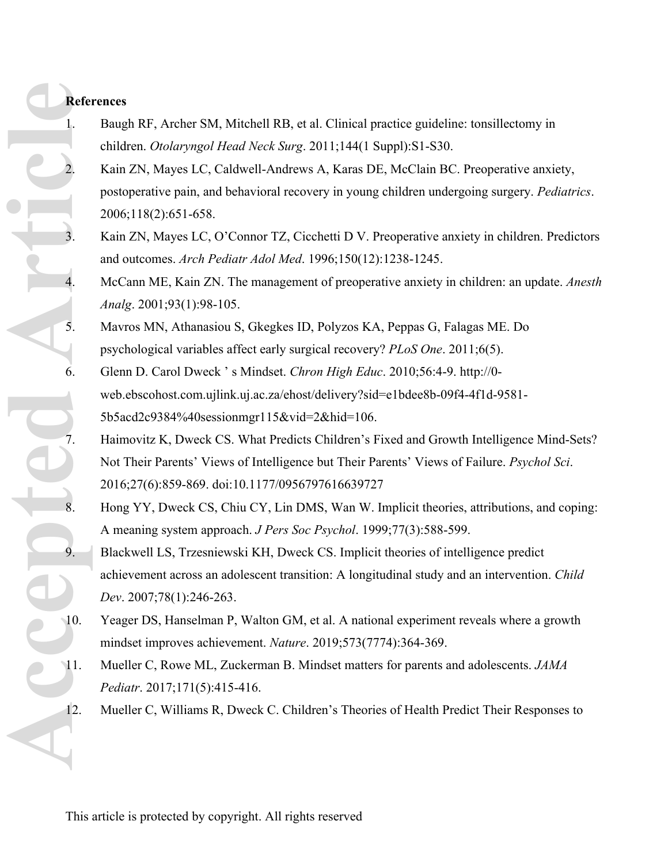## **References**

- 1. Baugh RF, Archer SM, Mitchell RB, et al. Clinical practice guideline: tonsillectomy in children. *Otolaryngol Head Neck Surg*. 2011;144(1 Suppl):S1-S30.
	- 2. Kain ZN, Mayes LC, Caldwell-Andrews A, Karas DE, McClain BC. Preoperative anxiety, postoperative pain, and behavioral recovery in young children undergoing surgery. *Pediatrics*. 2006;118(2):651-658.
- 3. Kain ZN, Mayes LC, O'Connor TZ, Cicchetti D V. Preoperative anxiety in children. Predictors and outcomes. *Arch Pediatr Adol Med*. 1996;150(12):1238-1245.
- 4. McCann ME, Kain ZN. The management of preoperative anxiety in children: an update. *Anesth Analg*. 2001;93(1):98-105.
- 5. Mavros MN, Athanasiou S, Gkegkes ID, Polyzos KA, Peppas G, Falagas ME. Do psychological variables affect early surgical recovery? *PLoS One*. 2011;6(5).
- 6. Glenn D. Carol Dweck ' s Mindset. *Chron High Educ*. 2010;56:4-9. http://0 web.ebscohost.com.ujlink.uj.ac.za/ehost/delivery?sid=e1bdee8b-09f4-4f1d-9581- 5b5acd2c9384%40sessionmgr115&vid=2&hid=106.
- 7. Haimovitz K, Dweck CS. What Predicts Children's Fixed and Growth Intelligence Mind-Sets? Not Their Parents' Views of Intelligence but Their Parents' Views of Failure. *Psychol Sci*. 2016;27(6):859-869. doi:10.1177/0956797616639727
- 8. Hong YY, Dweck CS, Chiu CY, Lin DMS, Wan W. Implicit theories, attributions, and coping: A meaning system approach. *J Pers Soc Psychol*. 1999;77(3):588-599.
- 9. Blackwell LS, Trzesniewski KH, Dweck CS. Implicit theories of intelligence predict achievement across an adolescent transition: A longitudinal study and an intervention. *Child Dev*. 2007;78(1):246-263.
- 10. Yeager DS, Hanselman P, Walton GM, et al. A national experiment reveals where a growth mindset improves achievement. *Nature*. 2019;573(7774):364-369.
- 11. Mueller C, Rowe ML, Zuckerman B. Mindset matters for parents and adolescents. *JAMA Pediatr*. 2017;171(5):415-416.
- 12. Mueller C, Williams R, Dweck C. Children's Theories of Health Predict Their Responses to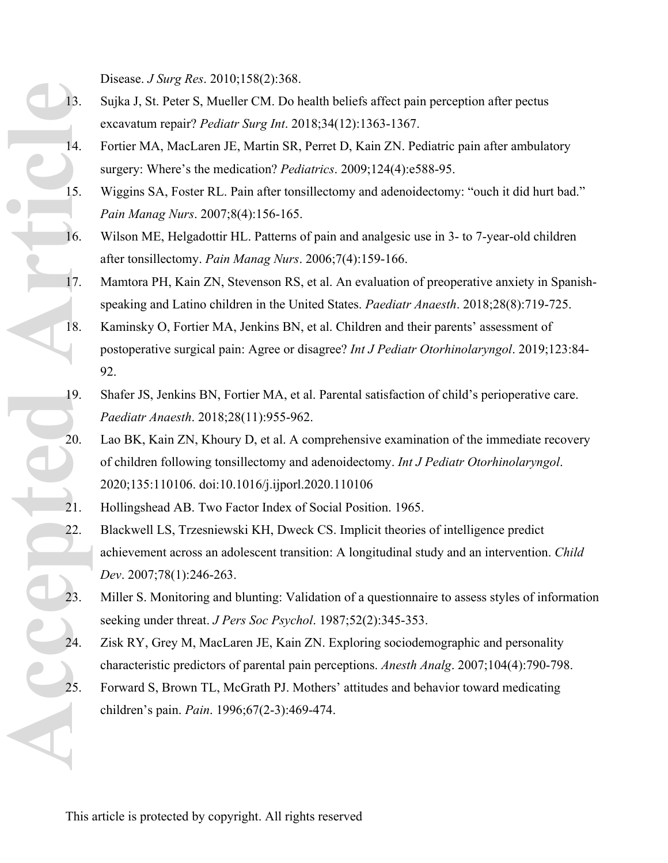Disease. *J Surg Res*. 2010;158(2):368.

- 13. Sujka J, St. Peter S, Mueller CM. Do health beliefs affect pain perception after pectus excavatum repair? *Pediatr Surg Int*. 2018;34(12):1363-1367.
- 14. Fortier MA, MacLaren JE, Martin SR, Perret D, Kain ZN. Pediatric pain after ambulatory surgery: Where's the medication? *Pediatrics*. 2009;124(4):e588-95.
- 15. Wiggins SA, Foster RL. Pain after tonsillectomy and adenoidectomy: "ouch it did hurt bad." *Pain Manag Nurs*. 2007;8(4):156-165.
- 16. Wilson ME, Helgadottir HL. Patterns of pain and analgesic use in 3- to 7-year-old children after tonsillectomy. *Pain Manag Nurs*. 2006;7(4):159-166.
- 17. Mamtora PH, Kain ZN, Stevenson RS, et al. An evaluation of preoperative anxiety in Spanishspeaking and Latino children in the United States. *Paediatr Anaesth*. 2018;28(8):719-725.
- 18. Kaminsky O, Fortier MA, Jenkins BN, et al. Children and their parents' assessment of postoperative surgical pain: Agree or disagree? *Int J Pediatr Otorhinolaryngol*. 2019;123:84- 92.
- 19. Shafer JS, Jenkins BN, Fortier MA, et al. Parental satisfaction of child's perioperative care. *Paediatr Anaesth*. 2018;28(11):955-962.
- 20. Lao BK, Kain ZN, Khoury D, et al. A comprehensive examination of the immediate recovery of children following tonsillectomy and adenoidectomy. *Int J Pediatr Otorhinolaryngol*. 2020;135:110106. doi:10.1016/j.ijporl.2020.110106
- 21. Hollingshead AB. Two Factor Index of Social Position. 1965.
- 22. Blackwell LS, Trzesniewski KH, Dweck CS. Implicit theories of intelligence predict achievement across an adolescent transition: A longitudinal study and an intervention. *Child Dev*. 2007;78(1):246-263. **Accepted Article**<br> **Accepted Article**<br> **Accepted Article**<br> **Accepted** Article<br> **Accepted** Article<br> **Accepted** Article<br> **Accepted** Article<br> **Accepted** Article
	- 23. Miller S. Monitoring and blunting: Validation of a questionnaire to assess styles of information seeking under threat. *J Pers Soc Psychol*. 1987;52(2):345-353.
	- 24. Zisk RY, Grey M, MacLaren JE, Kain ZN. Exploring sociodemographic and personality characteristic predictors of parental pain perceptions. *Anesth Analg*. 2007;104(4):790-798.
	- 25. Forward S, Brown TL, McGrath PJ. Mothers' attitudes and behavior toward medicating children's pain. *Pain*. 1996;67(2-3):469-474.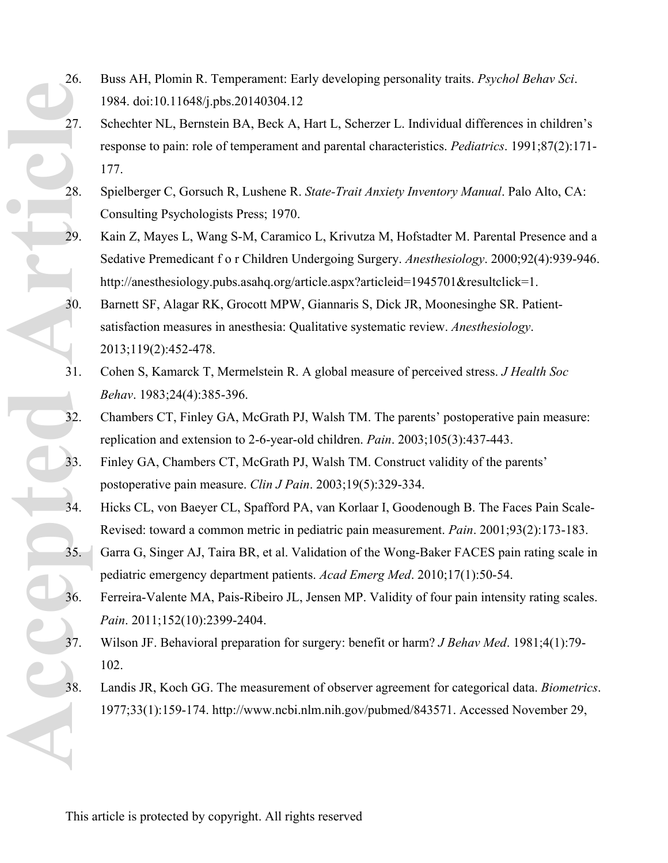- 26. Buss AH, Plomin R. Temperament: Early developing personality traits. *Psychol Behav Sci*. 1984. doi:10.11648/j.pbs.20140304.12
- 27. Schechter NL, Bernstein BA, Beck A, Hart L, Scherzer L. Individual differences in children's response to pain: role of temperament and parental characteristics. *Pediatrics*. 1991;87(2):171- 177.
- 28. Spielberger C, Gorsuch R, Lushene R. *State-Trait Anxiety Inventory Manual*. Palo Alto, CA: Consulting Psychologists Press; 1970.
- 29. Kain Z, Mayes L, Wang S-M, Caramico L, Krivutza M, Hofstadter M. Parental Presence and a Sedative Premedicant f o r Children Undergoing Surgery. *Anesthesiology*. 2000;92(4):939-946. http://anesthesiology.pubs.asahq.org/article.aspx?articleid=1945701&resultclick=1.
- 30. Barnett SF, Alagar RK, Grocott MPW, Giannaris S, Dick JR, Moonesinghe SR. Patientsatisfaction measures in anesthesia: Qualitative systematic review. *Anesthesiology*. 2013;119(2):452-478. **Accepted Articles** 28.<br> **Accepted Articles** 30.<br> **Accepted Articles** 31.<br> **Accepted Articles** 32.<br> **Accepted Articles** 32.<br> **Accepted Articles** 32.<br> **Accepted Articles** 32.
	- 31. Cohen S, Kamarck T, Mermelstein R. A global measure of perceived stress. *J Health Soc Behav*. 1983;24(4):385-396.
	- 32. Chambers CT, Finley GA, McGrath PJ, Walsh TM. The parents' postoperative pain measure: replication and extension to 2-6-year-old children. *Pain*. 2003;105(3):437-443.
	- 33. Finley GA, Chambers CT, McGrath PJ, Walsh TM. Construct validity of the parents' postoperative pain measure. *Clin J Pain*. 2003;19(5):329-334.
	- 34. Hicks CL, von Baeyer CL, Spafford PA, van Korlaar I, Goodenough B. The Faces Pain Scale-Revised: toward a common metric in pediatric pain measurement. *Pain*. 2001;93(2):173-183.
	- 35. Garra G, Singer AJ, Taira BR, et al. Validation of the Wong-Baker FACES pain rating scale in pediatric emergency department patients. *Acad Emerg Med*. 2010;17(1):50-54.
	- 36. Ferreira-Valente MA, Pais-Ribeiro JL, Jensen MP. Validity of four pain intensity rating scales. *Pain*. 2011;152(10):2399-2404.
	- 37. Wilson JF. Behavioral preparation for surgery: benefit or harm? *J Behav Med*. 1981;4(1):79- 102.
	- 38. Landis JR, Koch GG. The measurement of observer agreement for categorical data. *Biometrics*. 1977;33(1):159-174. http://www.ncbi.nlm.nih.gov/pubmed/843571. Accessed November 29,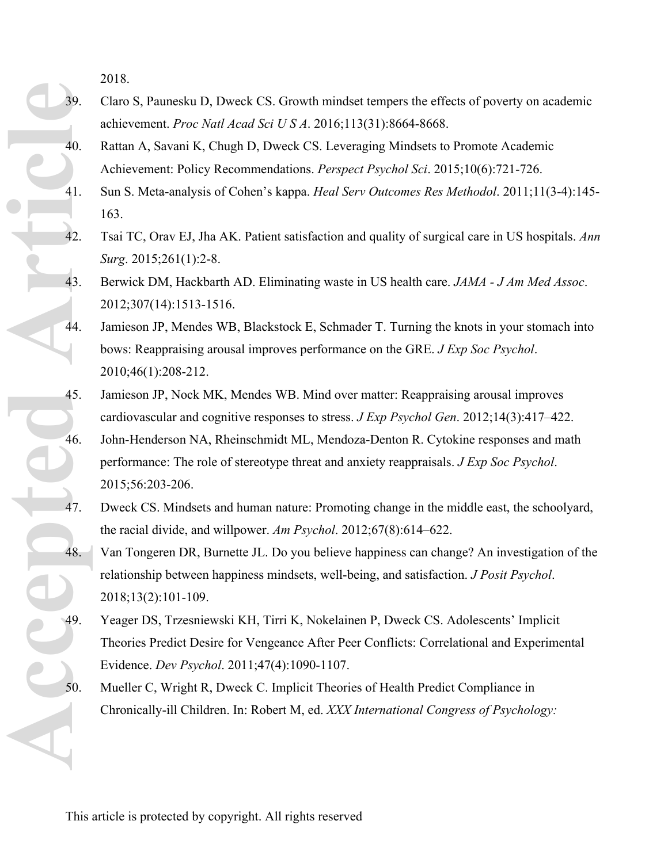2018.

- 39. Claro S, Paunesku D, Dweck CS. Growth mindset tempers the effects of poverty on academic achievement. *Proc Natl Acad Sci U S A*. 2016;113(31):8664-8668.
- 40. Rattan A, Savani K, Chugh D, Dweck CS. Leveraging Mindsets to Promote Academic Achievement: Policy Recommendations. *Perspect Psychol Sci*. 2015;10(6):721-726.
- 41. Sun S. Meta-analysis of Cohen's kappa. *Heal Serv Outcomes Res Methodol*. 2011;11(3-4):145- 163.
- 42. Tsai TC, Orav EJ, Jha AK. Patient satisfaction and quality of surgical care in US hospitals. *Ann Surg*. 2015;261(1):2-8.
- 43. Berwick DM, Hackbarth AD. Eliminating waste in US health care. *JAMA J Am Med Assoc*. 2012;307(14):1513-1516.
- 44. Jamieson JP, Mendes WB, Blackstock E, Schmader T. Turning the knots in your stomach into bows: Reappraising arousal improves performance on the GRE. *J Exp Soc Psychol*. 2010;46(1):208-212. **Accepted Articles** 44.<br> **Accepted Articles** 44.<br> **Accepted Articles** 45.<br> **Accepted Articles** 45.<br> **Accepted Articles** 46.<br> **Accepted Articles** 50.
	- 45. Jamieson JP, Nock MK, Mendes WB. Mind over matter: Reappraising arousal improves cardiovascular and cognitive responses to stress. *J Exp Psychol Gen*. 2012;14(3):417–422.
	- 46. John-Henderson NA, Rheinschmidt ML, Mendoza-Denton R. Cytokine responses and math performance: The role of stereotype threat and anxiety reappraisals. *J Exp Soc Psychol*. 2015;56:203-206.
	- 47. Dweck CS. Mindsets and human nature: Promoting change in the middle east, the schoolyard, the racial divide, and willpower. *Am Psychol*. 2012;67(8):614–622.
	- 48. Van Tongeren DR, Burnette JL. Do you believe happiness can change? An investigation of the relationship between happiness mindsets, well-being, and satisfaction. *J Posit Psychol*. 2018;13(2):101-109.
	- 49. Yeager DS, Trzesniewski KH, Tirri K, Nokelainen P, Dweck CS. Adolescents' Implicit Theories Predict Desire for Vengeance After Peer Conflicts: Correlational and Experimental Evidence. *Dev Psychol*. 2011;47(4):1090-1107.
	- 50. Mueller C, Wright R, Dweck C. Implicit Theories of Health Predict Compliance in Chronically-ill Children. In: Robert M, ed. *XXX International Congress of Psychology:*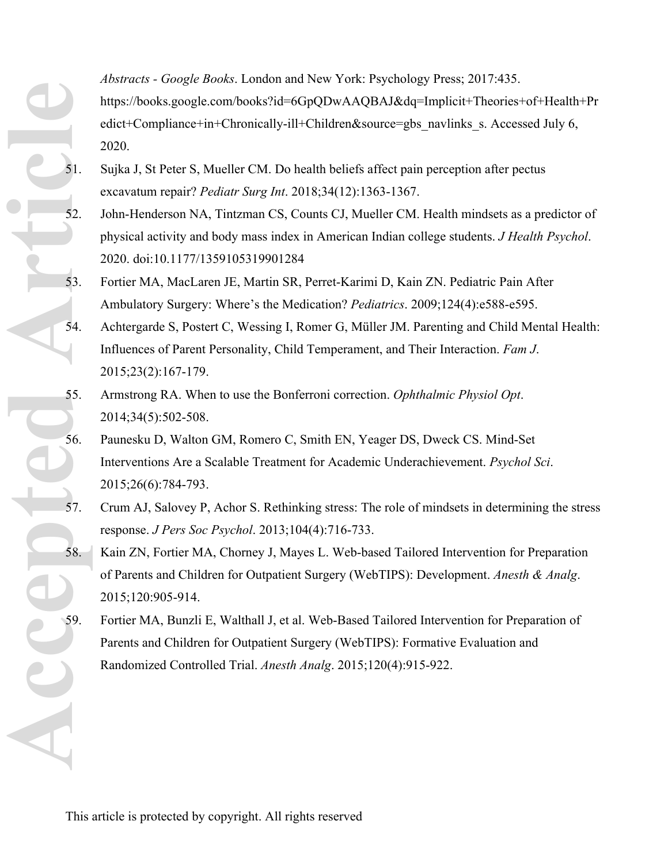*Abstracts - Google Books*. London and New York: Psychology Press; 2017:435. https://books.google.com/books?id=6GpQDwAAQBAJ&dq=Implicit+Theories+of+Health+Pr edict+Compliance+in+Chronically-ill+Children&source=gbs\_navlinks\_s. Accessed July 6, 2020.

- 51. Sujka J, St Peter S, Mueller CM. Do health beliefs affect pain perception after pectus excavatum repair? *Pediatr Surg Int*. 2018;34(12):1363-1367.
- 52. John-Henderson NA, Tintzman CS, Counts CJ, Mueller CM. Health mindsets as a predictor of physical activity and body mass index in American Indian college students. *J Health Psychol*. 2020. doi:10.1177/1359105319901284
- 53. Fortier MA, MacLaren JE, Martin SR, Perret-Karimi D, Kain ZN. Pediatric Pain After Ambulatory Surgery: Where's the Medication? *Pediatrics*. 2009;124(4):e588-e595.
- 54. Achtergarde S, Postert C, Wessing I, Romer G, Müller JM. Parenting and Child Mental Health: Influences of Parent Personality, Child Temperament, and Their Interaction. *Fam J*. 2015;23(2):167-179. **Accepted** Articles 3.<br> **Accepted** Articles 3.<br> **Accepted** Ass.
	- 55. Armstrong RA. When to use the Bonferroni correction. *Ophthalmic Physiol Opt*. 2014;34(5):502-508.
	- 56. Paunesku D, Walton GM, Romero C, Smith EN, Yeager DS, Dweck CS. Mind-Set Interventions Are a Scalable Treatment for Academic Underachievement. *Psychol Sci*. 2015;26(6):784-793.
	- 57. Crum AJ, Salovey P, Achor S. Rethinking stress: The role of mindsets in determining the stress response. *J Pers Soc Psychol*. 2013;104(4):716-733.
	- 58. Kain ZN, Fortier MA, Chorney J, Mayes L. Web-based Tailored Intervention for Preparation of Parents and Children for Outpatient Surgery (WebTIPS): Development. *Anesth & Analg*. 2015;120:905-914.
	- 59. Fortier MA, Bunzli E, Walthall J, et al. Web-Based Tailored Intervention for Preparation of Parents and Children for Outpatient Surgery (WebTIPS): Formative Evaluation and Randomized Controlled Trial. *Anesth Analg*. 2015;120(4):915-922.

This article is protected by copyright. All rights reserved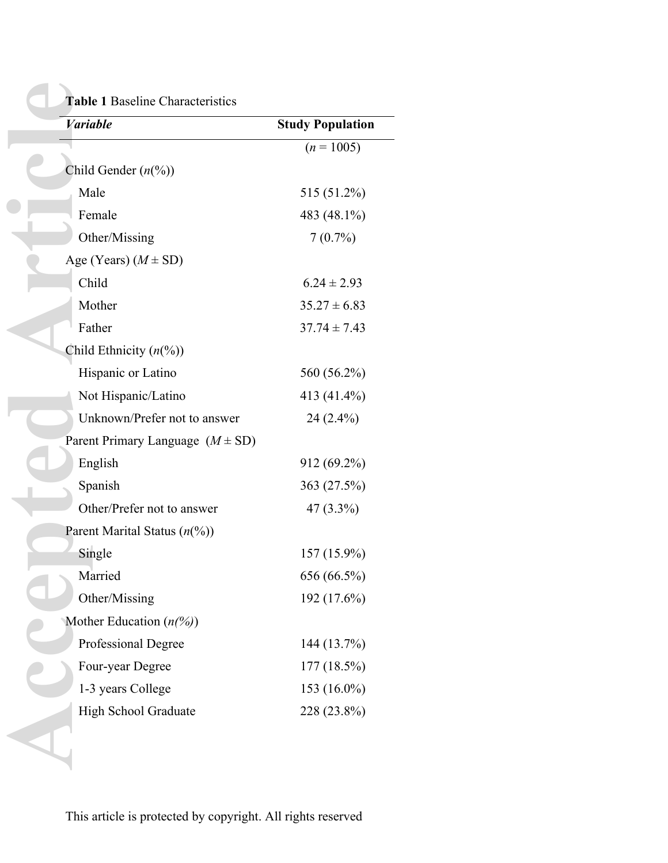| <b>Table 1 Baseline Characteristics</b> |
|-----------------------------------------|
|-----------------------------------------|

| <b><i>Variable</i></b>               | <b>Study Population</b> |
|--------------------------------------|-------------------------|
|                                      | $(n = 1005)$            |
| Child Gender $(n\frac{6}{6})$        |                         |
| Male                                 | 515 (51.2%)             |
| Female                               | 483 (48.1%)             |
| Other/Missing                        | $7(0.7\%)$              |
| Age (Years) $(M \pm SD)$             |                         |
| Child                                | $6.24 \pm 2.93$         |
| Mother                               | $35.27 \pm 6.83$        |
| Father                               | $37.74 \pm 7.43$        |
| Child Ethnicity $(n\ell\%)$          |                         |
| Hispanic or Latino                   | 560 (56.2%)             |
| Not Hispanic/Latino                  | 413 (41.4%)             |
| Unknown/Prefer not to answer         | 24 (2.4%)               |
| Parent Primary Language $(M \pm SD)$ |                         |
| English                              | 912 (69.2%)             |
| Spanish                              | 363 (27.5%)             |
| Other/Prefer not to answer           | $47(3.3\%)$             |
| Parent Marital Status $(n\ell\%)$    |                         |
| Single                               | $157(15.9\%)$           |
| Married                              | 656 (66.5%)             |
| Other/Missing                        | 192 (17.6%)             |
| Mother Education $(n\ell\%)$         |                         |
| Professional Degree                  | 144 (13.7%)             |
| Four-year Degree                     | $177(18.5\%)$           |
| 1-3 years College                    | 153 (16.0%)             |
| <b>High School Graduate</b>          | 228 (23.8%)             |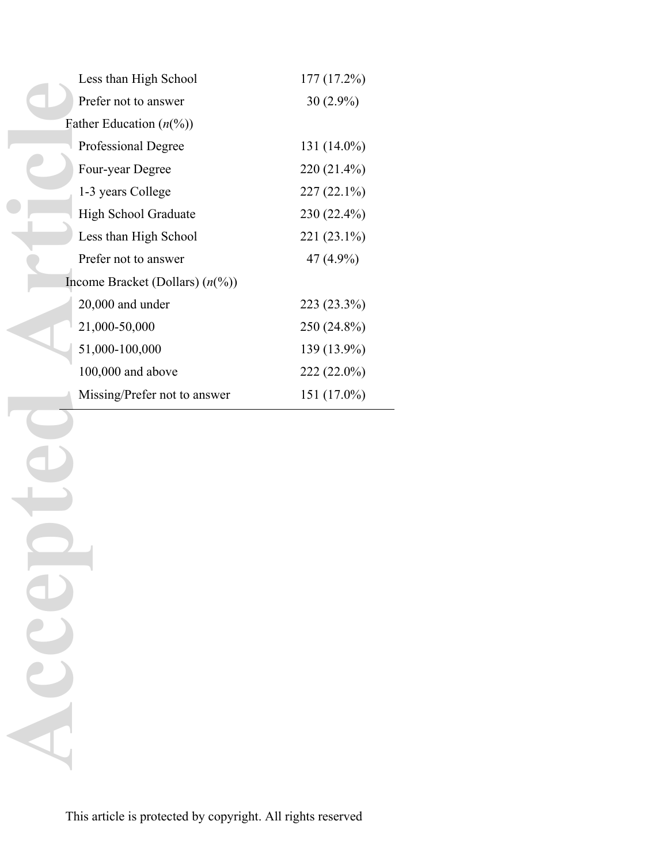| Less than High School            | $177(17.2\%)$ |
|----------------------------------|---------------|
| Prefer not to answer             | $30(2.9\%)$   |
| Father Education $(n\ell\%)$     |               |
| Professional Degree              | 131 (14.0%)   |
| Four-year Degree                 | 220 (21.4%)   |
| 1-3 years College                | $227(22.1\%)$ |
| High School Graduate             | 230 (22.4%)   |
| Less than High School            | $221(23.1\%)$ |
| Prefer not to answer             | 47 (4.9%)     |
| Income Bracket (Dollars) $(n\%)$ |               |
| 20,000 and under                 | 223 (23.3%)   |
| 21,000-50,000                    | 250 (24.8%)   |
| 51,000-100,000                   | 139 (13.9%)   |
| 100,000 and above                | $222(22.0\%)$ |
| Missing/Prefer not to answer     | 151 (17.0%)   |
|                                  |               |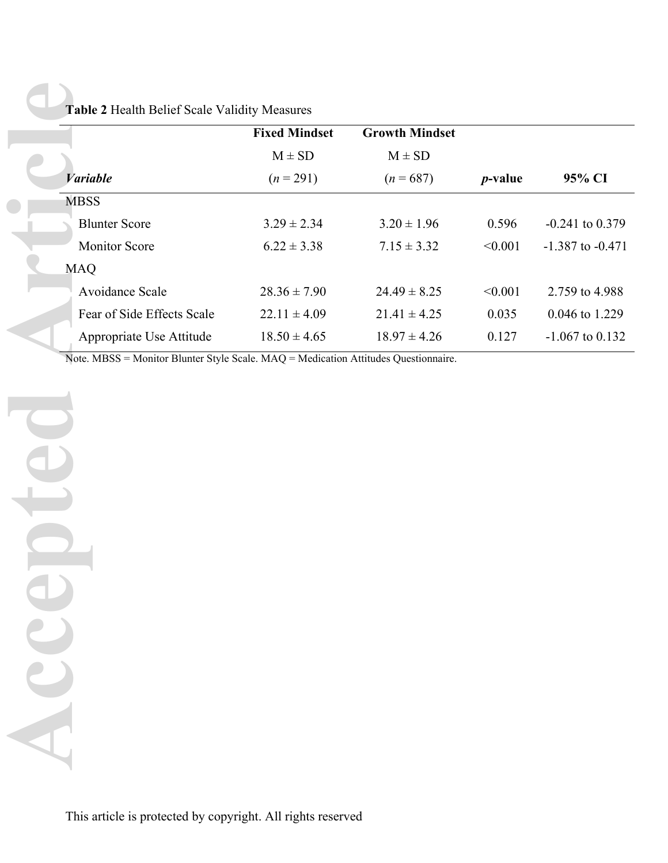## **Table 2** Health Belief Scale Validity Measures

|                            | <b>Fixed Mindset</b> | <b>Growth Mindset</b> |                 |                      |
|----------------------------|----------------------|-----------------------|-----------------|----------------------|
|                            | $M \pm SD$           | $M \pm SD$            |                 |                      |
| <b><i>Variable</i></b>     | $(n=291)$            | $(n = 687)$           | <i>p</i> -value | 95% CI               |
| <b>MBSS</b>                |                      |                       |                 |                      |
| <b>Blunter Score</b>       | $3.29 \pm 2.34$      | $3.20 \pm 1.96$       | 0.596           | $-0.241$ to $0.379$  |
| <b>Monitor Score</b>       | $6.22 \pm 3.38$      | $7.15 \pm 3.32$       | < 0.001         | $-1.387$ to $-0.471$ |
| <b>MAQ</b>                 |                      |                       |                 |                      |
| Avoidance Scale            | $28.36 \pm 7.90$     | $24.49 \pm 8.25$      | < 0.001         | 2.759 to 4.988       |
| Fear of Side Effects Scale | $22.11 \pm 4.09$     | $21.41 \pm 4.25$      | 0.035           | 0.046 to 1.229       |
| Appropriate Use Attitude   | $18.50 \pm 4.65$     | $18.97 \pm 4.26$      | 0.127           | $-1.067$ to 0.132    |

Note. MBSS = Monitor Blunter Style Scale. MAQ = Medication Attitudes Questionnaire.

This article is protected by copyright. All rights reserved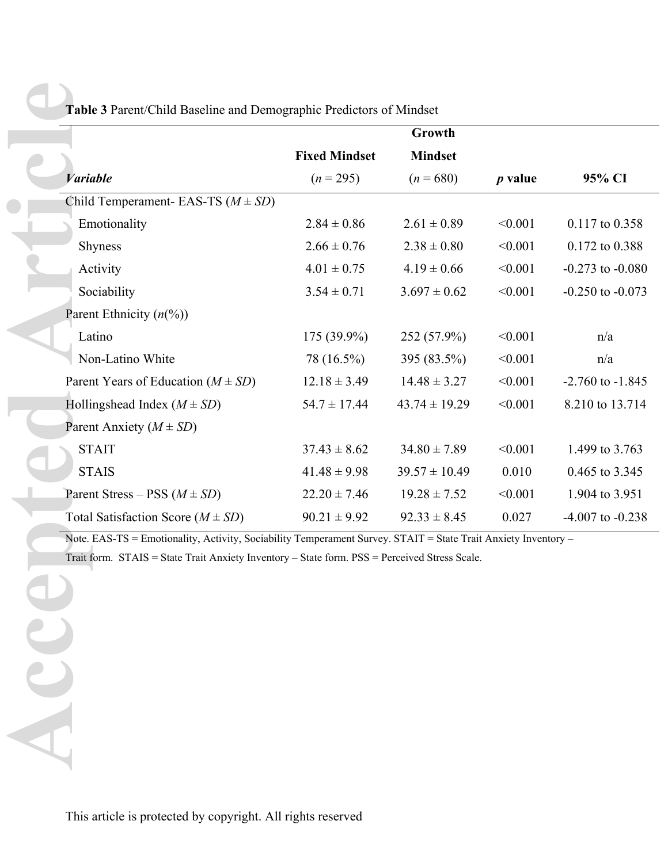|                                                                                                                                                                                                                 |                      | Growth            |           |                      |
|-----------------------------------------------------------------------------------------------------------------------------------------------------------------------------------------------------------------|----------------------|-------------------|-----------|----------------------|
|                                                                                                                                                                                                                 | <b>Fixed Mindset</b> | <b>Mindset</b>    |           |                      |
| <b><i>Variable</i></b>                                                                                                                                                                                          | $(n = 295)$          | $(n = 680)$       | $p$ value | 95% CI               |
| Child Temperament- EAS-TS $(M \pm SD)$                                                                                                                                                                          |                      |                   |           |                      |
| Emotionality                                                                                                                                                                                                    | $2.84 \pm 0.86$      | $2.61 \pm 0.89$   | < 0.001   | 0.117 to 0.358       |
| Shyness                                                                                                                                                                                                         | $2.66 \pm 0.76$      | $2.38 \pm 0.80$   | < 0.001   | 0.172 to 0.388       |
| Activity                                                                                                                                                                                                        | $4.01 \pm 0.75$      | $4.19 \pm 0.66$   | < 0.001   | $-0.273$ to $-0.080$ |
| Sociability                                                                                                                                                                                                     | $3.54 \pm 0.71$      | $3.697 \pm 0.62$  | < 0.001   | $-0.250$ to $-0.073$ |
| Parent Ethnicity $(n\ell\%)$                                                                                                                                                                                    |                      |                   |           |                      |
| Latino                                                                                                                                                                                                          | $175(39.9\%)$        | 252 (57.9%)       | < 0.001   | n/a                  |
| Non-Latino White                                                                                                                                                                                                | 78 (16.5%)           | 395 (83.5%)       | < 0.001   | n/a                  |
| Parent Years of Education $(M \pm SD)$                                                                                                                                                                          | $12.18 \pm 3.49$     | $14.48 \pm 3.27$  | < 0.001   | $-2.760$ to $-1.845$ |
| Hollingshead Index $(M \pm SD)$                                                                                                                                                                                 | $54.7 \pm 17.44$     | $43.74 \pm 19.29$ | < 0.001   | 8.210 to 13.714      |
| Parent Anxiety $(M \pm SD)$                                                                                                                                                                                     |                      |                   |           |                      |
| <b>STAIT</b>                                                                                                                                                                                                    | $37.43 \pm 8.62$     | $34.80 \pm 7.89$  | < 0.001   | 1.499 to 3.763       |
| <b>STAIS</b>                                                                                                                                                                                                    | $41.48 \pm 9.98$     | $39.57 \pm 10.49$ | 0.010     | 0.465 to 3.345       |
| Parent Stress – PSS $(M \pm SD)$                                                                                                                                                                                | $22.20 \pm 7.46$     | $19.28 \pm 7.52$  | < 0.001   | 1.904 to 3.951       |
| Total Satisfaction Score $(M \pm SD)$                                                                                                                                                                           | $90.21 \pm 9.92$     | $92.33 \pm 8.45$  | 0.027     | $-4.007$ to $-0.238$ |
| Note. EAS-TS = Emotionality, Activity, Sociability Temperament Survey. STAIT = State Trait Anxiety Inventory -<br>Trait form. STAIS = State Trait Anxiety Inventory - State form. PSS = Perceived Stress Scale. |                      |                   |           |                      |

Acce